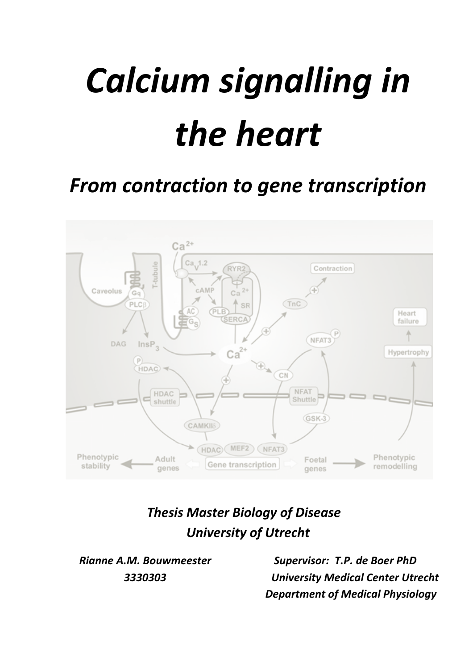# *Calcium
signalling
in the
heart*

## *From
contraction
to
gene
transcription*



### *Thesis
Master
Biology
of
Disease University
of
Utrecht*

*Rianne
A.M.
Bouwmeester 3330303*

*Supervisor:

T.P.
de
Boer
PhD University
Medical
Center Utrecht Department of Medical Physiology*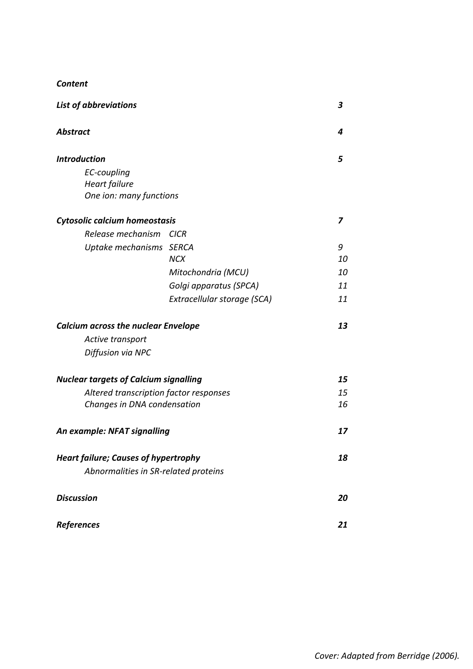| <b>Content</b> |
|----------------|
|----------------|

| <b>List of abbreviations</b>                 |                             | 3  |
|----------------------------------------------|-----------------------------|----|
| <b>Abstract</b>                              |                             | 4  |
| <b>Introduction</b>                          |                             | 5  |
| EC-coupling                                  |                             |    |
| Heart failure                                |                             |    |
| One ion: many functions                      |                             |    |
| Cytosolic calcium homeostasis                |                             | 7  |
| Release mechanism                            | <b>CICR</b>                 |    |
| Uptake mechanisms SERCA                      |                             | 9  |
|                                              | <b>NCX</b>                  | 10 |
|                                              | Mitochondria (MCU)          | 10 |
|                                              | Golgi apparatus (SPCA)      | 11 |
|                                              | Extracellular storage (SCA) | 11 |
| <b>Calcium across the nuclear Envelope</b>   |                             | 13 |
| Active transport                             |                             |    |
| Diffusion via NPC                            |                             |    |
| <b>Nuclear targets of Calcium signalling</b> |                             | 15 |
| Altered transcription factor responses       |                             | 15 |
| Changes in DNA condensation                  |                             | 16 |
| An example: NFAT signalling                  |                             | 17 |
| <b>Heart failure; Causes of hypertrophy</b>  |                             | 18 |
| Abnormalities in SR-related proteins         |                             |    |
| <b>Discussion</b>                            |                             | 20 |
| <b>References</b>                            |                             | 21 |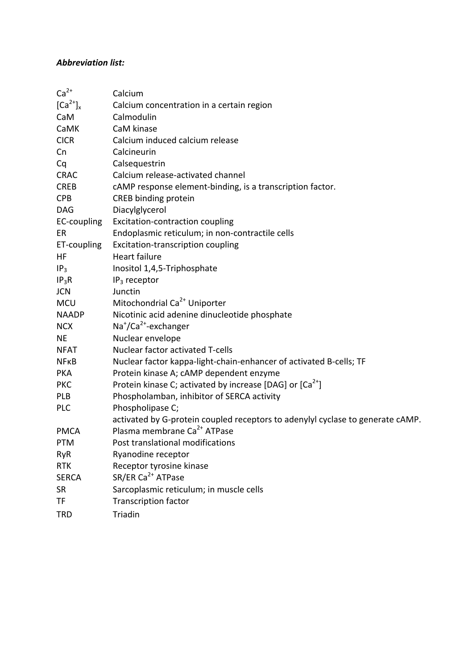#### *Abbreviation
list:*

| $Ca2+$          | Calcium                                                                        |
|-----------------|--------------------------------------------------------------------------------|
| $[Ca^{2+}]_{x}$ | Calcium concentration in a certain region                                      |
| CaM             | Calmodulin                                                                     |
| CaMK            | CaM kinase                                                                     |
| <b>CICR</b>     | Calcium induced calcium release                                                |
| Cn              | Calcineurin                                                                    |
| Cq              | Calsequestrin                                                                  |
| <b>CRAC</b>     | Calcium release-activated channel                                              |
| <b>CREB</b>     | cAMP response element-binding, is a transcription factor.                      |
| <b>CPB</b>      | CREB binding protein                                                           |
| <b>DAG</b>      | Diacylglycerol                                                                 |
| EC-coupling     | Excitation-contraction coupling                                                |
| ER              | Endoplasmic reticulum; in non-contractile cells                                |
| ET-coupling     | Excitation-transcription coupling                                              |
| HF              | <b>Heart failure</b>                                                           |
| IP <sub>3</sub> | Inositol 1,4,5-Triphosphate                                                    |
| $IP_3R$         | $IP3$ receptor                                                                 |
| <b>JCN</b>      | Junctin                                                                        |
| <b>MCU</b>      | Mitochondrial Ca <sup>2+</sup> Uniporter                                       |
| <b>NAADP</b>    | Nicotinic acid adenine dinucleotide phosphate                                  |
| <b>NCX</b>      | Na <sup>+</sup> /Ca <sup>2+</sup> -exchanger                                   |
| <b>NE</b>       | Nuclear envelope                                                               |
| <b>NFAT</b>     | Nuclear factor activated T-cells                                               |
| <b>NFKB</b>     | Nuclear factor kappa-light-chain-enhancer of activated B-cells; TF             |
| <b>PKA</b>      | Protein kinase A; cAMP dependent enzyme                                        |
| <b>PKC</b>      | Protein kinase C; activated by increase [DAG] or $[Ca^{2+}]$                   |
| PLB             | Phospholamban, inhibitor of SERCA activity                                     |
| <b>PLC</b>      | Phospholipase C;                                                               |
|                 | activated by G-protein coupled receptors to adenylyl cyclase to generate cAMP. |
| <b>PMCA</b>     | Plasma membrane Ca <sup>2+</sup> ATPase                                        |
| <b>PTM</b>      | Post translational modifications                                               |
| <b>RyR</b>      | Ryanodine receptor                                                             |
| <b>RTK</b>      | Receptor tyrosine kinase                                                       |
| <b>SERCA</b>    | SR/ER Ca <sup>2+</sup> ATPase                                                  |
| SR              | Sarcoplasmic reticulum; in muscle cells                                        |
| TF              | <b>Transcription factor</b>                                                    |
| <b>TRD</b>      | Triadin                                                                        |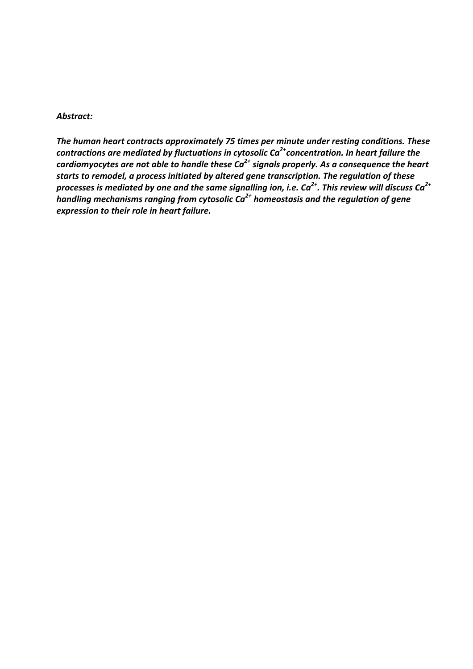#### *Abstract:*

*The
human
heart
contracts
approximately
75 times
per
minute
under resting
conditions.
These* contractions are mediated by fluctuations in cytosolic Ca<sup>2+</sup>concentration. In heart failure the *cardiomyocytes
are not
able
to
handle
these
Ca2+ signals
properly. As
a
consequence
the
heart*  starts to remodel, a process initiated by altered gene transcription. The regulation of these processes is mediated by one and the same signalling ion, i.e. Ca<sup>2+</sup>. This review will discuss Ca<sup>2+</sup> *handling mechanisms ranging from cytosolic Ca<sup>2+</sup> homeostasis and the regulation of gene expression
to
their
role
in
heart
failure.*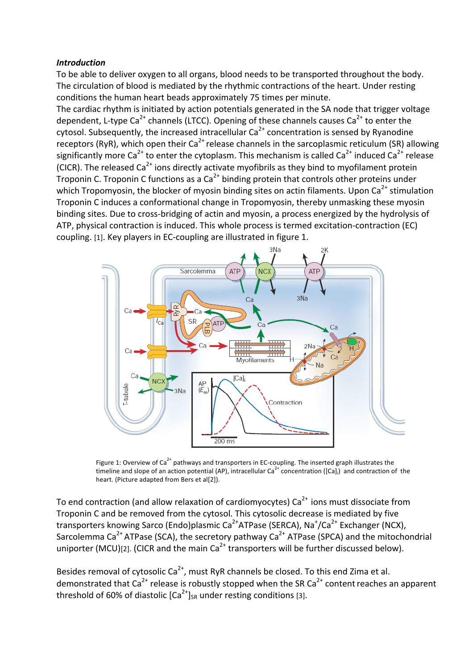#### *Introduction*

To be able to deliver oxygen to all organs, blood needs to be transported throughout the body. The circulation of blood is mediated by the rhythmic contractions of the heart. Under resting conditions
the
human
heart
beads
approximately
75 times
per
minute.

The cardiac rhythm is initiated by action potentials generated in the SA node that trigger voltage dependent, L-type Ca<sup>2+</sup> channels (LTCC). Opening of these channels causes Ca<sup>2+</sup> to enter the cytosol. Subsequently, the increased intracellular  $Ca^{2+}$  concentration is sensed by Ryanodine receptors (RyR), which open their  $Ca^{2+}$  release channels in the sarcoplasmic reticulum (SR) allowing significantly more Ca<sup>2+</sup> to enter the cytoplasm. This mechanism is called Ca<sup>2+</sup> induced Ca<sup>2+</sup> release (CICR). The released  $Ca^{2+}$  ions directly activate myofibrils as they bind to myofilament protein Troponin C. Troponin C functions as a  $Ca<sup>2+</sup>$  binding protein that controls other proteins under which Tropomyosin, the blocker of myosin binding sites on actin filaments. Upon  $Ca^{2+}$  stimulation Troponin C induces a conformational change in Tropomyosin, thereby unmasking these myosin binding sites. Due to cross-bridging of actin and myosin, a process energized by the hydrolysis of ATP, physical contraction is induced. This whole process is termed excitation-contraction (EC) coupling.
[1].
Key
players
in
EC‐coupling
are
illustrated
in
figure
1.



Figure 1: Overview of Ca<sup>2+</sup> pathways and transporters in EC-coupling. The inserted graph illustrates the timeline and slope of an action potential (AP), intracellular Ca<sup>2+</sup> concentration ([Ca]<sub>i</sub>) and contraction of the heart. (Picture adapted from Bers et al[2]).

To end contraction (and allow relaxation of cardiomyocytes) Ca<sup>2+</sup> ions must dissociate from Troponin
C
and
be
removed
from
the
cytosol.
This
cytosolic
decrease
is
mediated
by
five transporters knowing Sarco (Endo)plasmic Ca<sup>2+</sup>ATPase (SERCA), Na<sup>+</sup>/Ca<sup>2+</sup> Exchanger (NCX), Sarcolemma Ca<sup>2+</sup> ATPase (SCA), the secretory pathway Ca<sup>2+</sup> ATPase (SPCA) and the mitochondrial uniporter (MCU)[2]. (CICR and the main  $Ca^{2+}$  transporters will be further discussed below).

Besides removal of cytosolic  $Ca^{2+}$ , must RyR channels be closed. To this end Zima et al. demonstrated that  $Ca^{2+}$  release is robustly stopped when the SR  $Ca^{2+}$  content reaches an apparent threshold of 60% of diastolic  $[Ca^{2+}]_{SR}$  under resting conditions [3].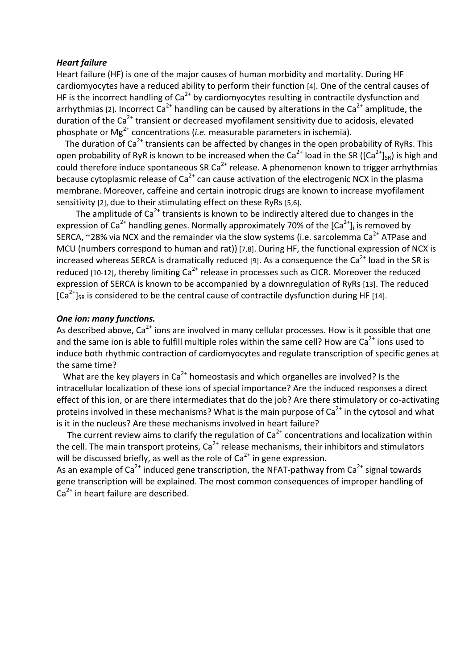#### *Heart
failure*

Heart failure (HF) is one of the major causes of human morbidity and mortality. During HF cardiomyocytes have a reduced ability to perform their function [4]. One of the central causes of HF is the incorrect handling of  $Ca<sup>2+</sup>$  by cardiomyocytes resulting in contractile dysfunction and arrhythmias (21. Incorrect Ca<sup>2+</sup> handling can be caused by alterations in the Ca<sup>2+</sup> amplitude, the duration of the Ca<sup>2+</sup> transient or decreased myofilament sensitivity due to acidosis, elevated phosphate or Mg<sup>2+</sup> concentrations (*i.e.* measurable parameters in ischemia).

The duration of  $Ca^{2+}$  transients can be affected by changes in the open probability of RyRs. This open probability of RyR is known to be increased when the Ca<sup>2+</sup> load in the SR ([Ca<sup>2+</sup>]<sub>SR</sub>) is high and could therefore induce spontaneous SR Ca<sup>2+</sup> release. A phenomenon known to trigger arrhythmias because cytoplasmic release of  $Ca<sup>2+</sup>$  can cause activation of the electrogenic NCX in the plasma membrane. Moreover, caffeine and certain inotropic drugs are known to increase myofilament sensitivity [2], due to their stimulating effect on these RyRs [5,6].

The amplitude of  $Ca^{2+}$  transients is known to be indirectly altered due to changes in the expression of  $Ca^{2+}$  handling genes. Normally approximately 70% of the  $[Ca^{2+}]$  is removed by SERCA, ~28% via NCX and the remainder via the slow systems (i.e. sarcolemma Ca<sup>2+</sup> ATPase and MCU (numbers correspond to human and rat)) [7,8]. During HF, the functional expression of NCX is increased whereas SERCA is dramatically reduced [9]. As a consequence the Ca<sup>2+</sup> load in the SR is reduced [10-12], thereby limiting  $Ca^{2+}$  release in processes such as CICR. Moreover the reduced expression of SERCA is known to be accompanied by a downregulation of RyRs [13]. The reduced  $\lceil Ca^{2+} \rceil_{SR}$  is considered to be the central cause of contractile dysfunction during HF [14].

#### *One
ion:
many
functions.*

As described above, Ca<sup>2+</sup> ions are involved in many cellular processes. How is it possible that one and the same ion is able to fulfill multiple roles within the same cell? How are Ca<sup>2+</sup> ions used to induce both rhythmic contraction of cardiomyocytes and regulate transcription of specific genes at the
same
time?

What are the key players in Ca<sup>2+</sup> homeostasis and which organelles are involved? Is the intracellular localization of these ions of special importance? Are the induced responses a direct effect of this ion, or are there intermediates that do the job? Are there stimulatory or co-activating proteins involved in these mechanisms? What is the main purpose of  $Ca<sup>2+</sup>$  in the cytosol and what is it in the nucleus? Are these mechanisms involved in heart failure?

The current review aims to clarify the regulation of  $Ca<sup>2+</sup>$  concentrations and localization within the cell. The main transport proteins,  $Ca<sup>2+</sup>$  release mechanisms, their inhibitors and stimulators will be discussed briefly, as well as the role of  $Ca<sup>2+</sup>$  in gene expression.

As an example of  $Ca^{2+}$  induced gene transcription, the NFAT-pathway from  $Ca^{2+}$  signal towards gene transcription will be explained. The most common consequences of improper handling of Ca<sup>2+</sup> in heart failure are described.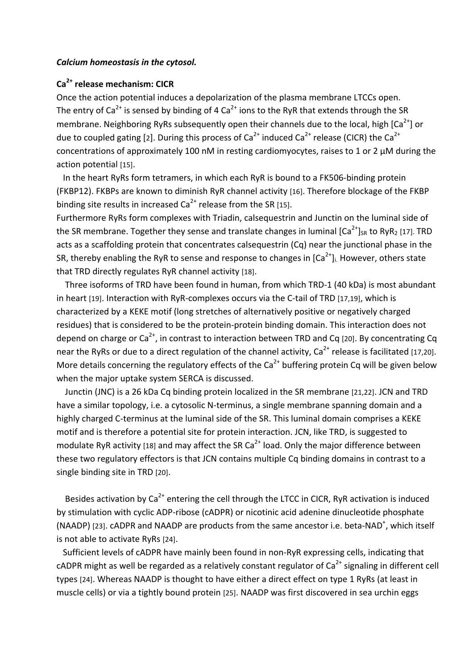#### *Calcium
homeostasis
in
the
cytosol.*

#### **Ca2+ release
mechanism:
CICR**

Once
the
action
potential
induces
a
depolarization
of
the
plasma
membrane
LTCCs
open. The entry of  $Ca^{2+}$  is sensed by binding of 4  $Ca^{2+}$  ions to the RyR that extends through the SR membrane. Neighboring RyRs subsequently open their channels due to the local, high  $\lceil Ca^{2+} \rceil$  or due to coupled gating [2]. During this process of  $Ca^{2+}$  induced  $Ca^{2+}$  release (CICR) the  $Ca^{2+}$ concentrations
of
approximately
100
nM
in
resting
cardiomyocytes,
raises
to
1
or
2
μM
during
the action
potential
[15].

In the heart RyRs form tetramers, in which each RyR is bound to a FK506-binding protein (FKBP12). FKBPs are known to diminish RyR channel activity [16]. Therefore blockage of the FKBP binding site results in increased  $Ca^{2+}$  release from the SR [15].

Furthermore RyRs form complexes with Triadin, calsequestrin and Junctin on the luminal side of the SR membrane. Together they sense and translate changes in luminal  $[Ca^{2+}]_{SR}$  to RyR<sub>2</sub> [17]. TRD acts as a scaffolding protein that concentrates calsequestrin (Cq) near the junctional phase in the SR, thereby enabling the RyR to sense and response to changes in  $[Ca<sup>2+</sup>]$ . However, others state that
TRD
directly
regulates
RyR
channel
activity [18].

Three
isoforms
of
TRD
have
been
found
in
human,
from
which
TRD‐1
(40
kDa)
is
most
abundant in heart [19]. Interaction with RyR-complexes occurs via the C-tail of TRD [17,19], which is characterized
by
a
KEKE
motif
(long
stretches
of
alternatively
positive
or
negatively
charged residues) that is considered to be the protein-protein binding domain. This interaction does not depend on charge or Ca<sup>2+</sup>, in contrast to interaction between TRD and Cq [20]. By concentrating Cq near the RyRs or due to a direct regulation of the channel activity,  $Ca^{2+}$  release is facilitated [17,20]. More details concerning the regulatory effects of the  $Ca^{2+}$  buffering protein Cq will be given below when the major uptake system SERCA is discussed.

Junctin (JNC) is a 26 kDa Cq binding protein localized in the SR membrane [21,22]. JCN and TRD have a similar topology, i.e. a cytosolic N-terminus, a single membrane spanning domain and a highly charged C-terminus at the luminal side of the SR. This luminal domain comprises a KEKE motif and is therefore a potential site for protein interaction. JCN, like TRD, is suggested to modulate RyR activity [18] and may affect the SR  $Ca<sup>2+</sup>$  load. Only the major difference between these two regulatory effectors is that JCN contains multiple Cq binding domains in contrast to a single binding
site
in
TRD
[20].

Besides activation by  $Ca^{2+}$  entering the cell through the LTCC in CICR, RyR activation is induced by stimulation with cyclic ADP-ribose (cADPR) or nicotinic acid adenine dinucleotide phosphate (NAADP) [23]. cADPR and NAADP are products from the same ancestor i.e. beta-NAD<sup>+</sup>, which itself is
not
able
to
activate
RyRs [24].

Sufficient levels of cADPR have mainly been found in non-RyR expressing cells, indicating that cADPR might as well be regarded as a relatively constant regulator of  $Ca<sup>2+</sup>$  signaling in different cell types [24]. Whereas NAADP is thought to have either a direct effect on type 1 RyRs (at least in muscle cells) or via a tightly bound protein [25]. NAADP was first discovered in sea urchin eggs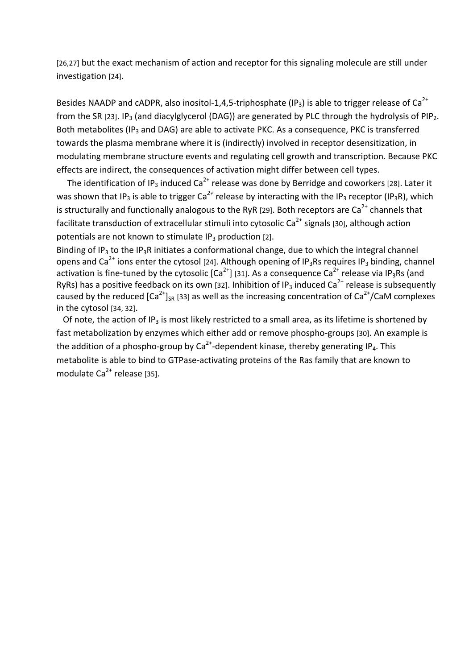[26,27] but
the
exact
mechanism
of
action
and
receptor
for
this
signaling
molecule
are
still
under investigation [24].

Besides NAADP and cADPR, also inositol-1,4,5-triphosphate (IP<sub>3</sub>) is able to trigger release of Ca<sup>2+</sup> from the SR [23]. IP<sub>3</sub> (and diacylglycerol (DAG)) are generated by PLC through the hydrolysis of PIP<sub>2</sub>. Both metabolites (IP<sub>3</sub> and DAG) are able to activate PKC. As a consequence, PKC is transferred towards the plasma membrane where it is (indirectly) involved in receptor desensitization, in modulating membrane structure events and regulating cell growth and transcription. Because PKC effects
are
indirect,
the
consequences of
activation
might
differ
between
cell
types.

The identification of IP<sub>3</sub> induced Ca<sup>2+</sup> release was done by Berridge and coworkers [28]. Later it was shown that IP<sub>3</sub> is able to trigger Ca<sup>2+</sup> release by interacting with the IP<sub>3</sub> receptor (IP<sub>3</sub>R), which is structurally and functionally analogous to the RyR [29]. Both receptors are Ca<sup>2+</sup> channels that facilitate transduction of extracellular stimuli into cytosolic Ca<sup>2+</sup> signals [30], although action potentials are not known to stimulate IP<sub>3</sub> production [2].

Binding of IP<sub>3</sub> to the IP<sub>3</sub>R initiates a conformational change, due to which the integral channel opens and  $Ca^{2+}$  ions enter the cytosol [24]. Although opening of IP<sub>3</sub>Rs requires IP<sub>3</sub> binding, channel activation is fine-tuned by the cytosolic  $|Ca^{2+}|\overline{31}$ . As a consequence  $Ca^{2+}$  release via IP<sub>3</sub>Rs (and RyRs) has a positive feedback on its own [32]. Inhibition of IP<sub>3</sub> induced Ca<sup>2+</sup> release is subsequently caused by the reduced  $[Ca^{2+}]_{SR}$  [33] as well as the increasing concentration of  $Ca^{2+}/CaM$  complexes in
the
cytosol
[34,
32].

Of note, the action of IP<sub>3</sub> is most likely restricted to a small area, as its lifetime is shortened by fast metabolization by enzymes which either add or remove phospho-groups [30]. An example is the addition of a phospho-group by  $Ca^{2+}$ -dependent kinase, thereby generating IP<sub>4</sub>. This metabolite is able to bind to GTPase-activating proteins of the Ras family that are known to modulate Ca<sup>2+</sup> release [35].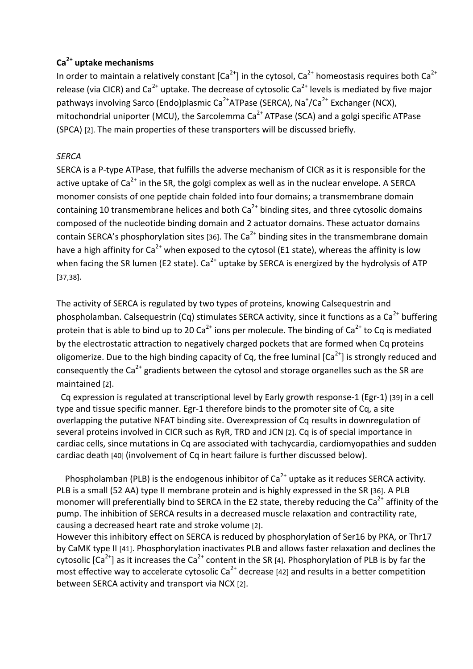#### **Ca2+ uptake
mechanisms**

In order to maintain a relatively constant  $[Ca^{2+}]$  in the cytosol,  $Ca^{2+}$  homeostasis requires both  $Ca^{2+}$ release (via CICR) and  $Ca^{2+}$  uptake. The decrease of cytosolic  $Ca^{2+}$  levels is mediated by five major pathways involving Sarco (Endo)plasmic Ca<sup>2+</sup>ATPase (SERCA), Na<sup>+</sup>/Ca<sup>2+</sup> Exchanger (NCX), mitochondrial uniporter (MCU), the Sarcolemma Ca<sup>2+</sup> ATPase (SCA) and a golgi specific ATPase (SPCA)
[2]. The
main
properties
of
these transporters will
be
discussed
briefly.

#### *SERCA*

SERCA is a P-type ATPase, that fulfills the adverse mechanism of CICR as it is responsible for the active uptake of  $Ca^{2+}$  in the SR, the golgi complex as well as in the nuclear envelope. A SERCA monomer consists of one peptide chain folded into four domains; a transmembrane domain containing 10 transmembrane helices and both  $Ca<sup>2+</sup>$  binding sites, and three cytosolic domains composed
of
the
nucleotide
binding
domain
and
2
actuator
domains.
These
actuator
domains contain SERCA's phosphorylation sites [36]. The  $Ca<sup>2+</sup>$  binding sites in the transmembrane domain have a high affinity for  $Ca^{2+}$  when exposed to the cytosol (E1 state), whereas the affinity is low when facing the SR lumen (E2 state).  $Ca^{2+}$  uptake by SERCA is energized by the hydrolysis of ATP [37,38].

The
activity
of
SERCA
is
regulated
by
two
types
of
proteins,
knowing
Calsequestrin
and phospholamban. Calsequestrin (Cq) stimulates SERCA activity, since it functions as a Ca<sup>2+</sup> buffering protein that is able to bind up to 20  $Ca^{2+}$  ions per molecule. The binding of  $Ca^{2+}$  to Cq is mediated by
the
electrostatic
attraction
to
negatively charged pockets that
are
formed
when Cq
proteins oligomerize. Due to the high binding capacity of Cq, the free luminal [Ca<sup>2+</sup>] is strongly reduced and consequently the  $Ca^{2+}$  gradients between the cytosol and storage organelles such as the SR are maintained
[2].

Cq expression is regulated at transcriptional level by Early growth response-1 (Egr-1) [39] in a cell type and tissue specific manner. Egr-1 therefore binds to the promoter site of Cq, a site overlapping the putative NFAT binding site. Overexpression of Cq results in downregulation of several proteins involved in CICR such as RyR, TRD and JCN [2]. Cq is of special importance in cardiac
cells,
since
mutations
in
Cq
are
associated
with
tachycardia,
cardiomyopathies
and
sudden cardiac death [40] (involvement of Cq in heart failure is further discussed below).

Phospholamban (PLB) is the endogenous inhibitor of  $Ca^{2+}$  uptake as it reduces SERCA activity. PLB is a small (52 AA) type II membrane protein and is highly expressed in the SR [36]. A PLB monomer will preferentially bind to SERCA in the E2 state, thereby reducing the Ca<sup>2+</sup> affinity of the pump. The inhibition of SERCA results in a decreased muscle relaxation and contractility rate, causing
a
decreased
heart
rate
and
stroke
volume
[2].

However this inhibitory effect on SERCA is reduced by phosphorylation of Ser16 by PKA, or Thr17 by CaMK type II [41]. Phosphorylation inactivates PLB and allows faster relaxation and declines the cytosolic  $\lceil Ca^{2+} \rceil$  as it increases the Ca<sup>2+</sup> content in the SR [4]. Phosphorylation of PLB is by far the most effective way to accelerate cytosolic  $Ca^{2+}$  decrease [42] and results in a better competition between
SERCA
activity
and
transport
via NCX
[2].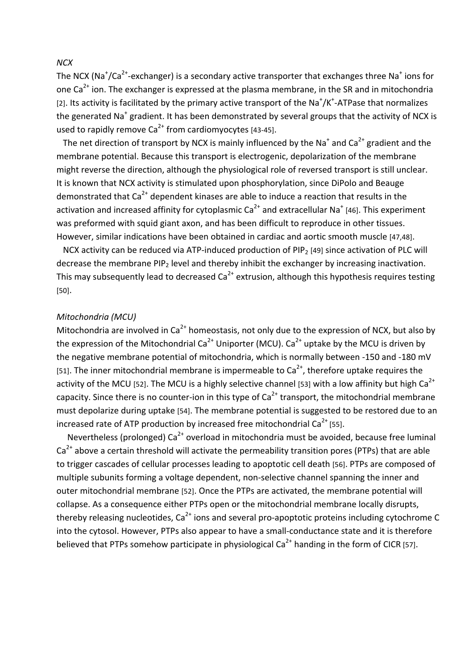#### *NCX*

The NCX (Na<sup>+</sup>/Ca<sup>2+</sup>-exchanger) is a secondary active transporter that exchanges three Na<sup>+</sup> ions for one  $Ca<sup>2+</sup>$  ion. The exchanger is expressed at the plasma membrane, in the SR and in mitochondria [2]. Its activity is facilitated by the primary active transport of the Na<sup>+</sup>/K<sup>+</sup>-ATPase that normalizes the generated Na<sup>+</sup> gradient. It has been demonstrated by several groups that the activity of NCX is used to rapidly remove  $Ca^{2+}$  from cardiomyocytes [43-45].

The net direction of transport by NCX is mainly influenced by the Na<sup>+</sup> and Ca<sup>2+</sup> gradient and the membrane potential. Because this transport is electrogenic, depolarization of the membrane might reverse the direction, although the physiological role of reversed transport is still unclear. It is known that NCX activity is stimulated upon phosphorylation, since DiPolo and Beauge demonstrated that  $Ca^{2+}$  dependent kinases are able to induce a reaction that results in the activation and increased affinity for cytoplasmic  $Ca^{2+}$  and extracellular Na<sup>+</sup> [46]. This experiment was preformed with squid giant axon, and has been difficult to reproduce in other tissues. However, similar indications have been obtained in cardiac and aortic smooth muscle [47,48].

NCX activity can be reduced via ATP-induced production of PIP<sub>2</sub> [49] since activation of PLC will decrease the membrane PIP<sub>2</sub> level and thereby inhibit the exchanger by increasing inactivation. This may subsequently lead to decreased  $Ca<sup>2+</sup>$  extrusion, although this hypothesis requires testing [50].

#### *Mitochondria (MCU)*

Mitochondria are involved in Ca<sup>2+</sup> homeostasis, not only due to the expression of NCX, but also by the expression of the Mitochondrial Ca<sup>2+</sup> Uniporter (MCU). Ca<sup>2+</sup> uptake by the MCU is driven by the negative membrane potential of mitochondria, which is normally between -150 and -180 mV [51]. The inner mitochondrial membrane is impermeable to  $Ca<sup>2+</sup>$ , therefore uptake requires the activity of the MCU [52]. The MCU is a highly selective channel [53] with a low affinity but high Ca<sup>2+</sup> capacity. Since there is no counter-ion in this type of  $Ca<sup>2+</sup>$  transport, the mitochondrial membrane must depolarize during uptake [54]. The membrane potential is suggested to be restored due to an increased rate of ATP production by increased free mitochondrial Ca<sup>2+</sup> [55].

Nevertheless (prolonged)  $Ca^{2+}$  overload in mitochondria must be avoided, because free luminal Ca<sup>2+</sup> above a certain threshold will activate the permeability transition pores (PTPs) that are able to trigger cascades of cellular processes leading to apoptotic cell death [56]. PTPs are composed of multiple subunits forming a voltage dependent, non-selective channel spanning the inner and outer mitochondrial membrane [52]. Once the PTPs are activated, the membrane potential will collapse.
As
a
consequence
either
PTPs
open
or
the
mitochondrial
membrane
locally
disrupts, thereby releasing nucleotides, Ca<sup>2+</sup> ions and several pro-apoptotic proteins including cytochrome C into the cytosol. However, PTPs also appear to have a small-conductance state and it is therefore believed that PTPs somehow participate in physiological  $Ca^{2+}$  handing in the form of CICR [57].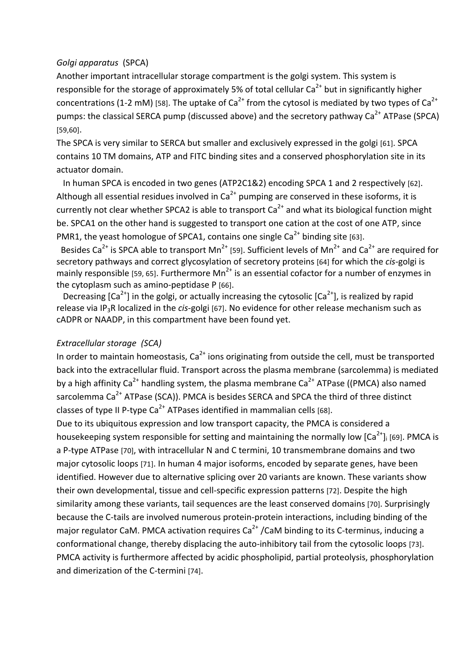#### *Golgi
apparatus* (SPCA)

Another important intracellular storage compartment is the golgi system. This system is responsible for the storage of approximately 5% of total cellular  $Ca^{2+}$  but in significantly higher concentrations (1-2 mM) [58]. The uptake of  $Ca^{2+}$  from the cytosol is mediated by two types of  $Ca^{2+}$ pumps: the classical SERCA pump (discussed above) and the secretory pathway Ca<sup>2+</sup> ATPase (SPCA) [59,60].

The SPCA is very similar to SERCA but smaller and exclusively expressed in the golgi [61]. SPCA contains 10 TM domains, ATP and FITC binding sites and a conserved phosphorylation site in its actuator
domain.

In human SPCA is encoded in two genes (ATP2C1&2) encoding SPCA 1 and 2 respectively [62]. Although all essential residues involved in  $Ca<sup>2+</sup>$  pumping are conserved in these isoforms, it is currently not clear whether SPCA2 is able to transport  $Ca<sup>2+</sup>$  and what its biological function might be. SPCA1 on the other hand is suggested to transport one cation at the cost of one ATP, since PMR1, the yeast homologue of SPCA1, contains one single  $Ca<sup>2+</sup>$  binding site [63].

Besides Ca<sup>2+</sup> is SPCA able to transport Mn<sup>2+</sup> [59]. Sufficient levels of Mn<sup>2+</sup> and Ca<sup>2+</sup> are required for secretory pathways and correct glycosylation of secretory proteins [64] for which the *cis-golgi* is mainly responsible [59, 65]. Furthermore  $Mn^{2+}$  is an essential cofactor for a number of enzymes in the
cytoplasm
such
as
amino‐peptidase
P
[66].

Decreasing  $\lceil Ca^{2+} \rceil$  in the golgi, or actually increasing the cytosolic  $\lceil Ca^{2+} \rceil$ , is realized by rapid release via IP<sub>3</sub>R localized in the *cis*-golgi [67]. No evidence for other release mechanism such as cADPR
or
NAADP, in
this
compartment
have been
found
yet.

#### *Extracellular
storage (SCA)*

In order to maintain homeostasis,  $Ca<sup>2+</sup>$  ions originating from outside the cell, must be transported back into the extracellular fluid. Transport across the plasma membrane (sarcolemma) is mediated by a high affinity Ca<sup>2+</sup> handling system, the plasma membrane Ca<sup>2+</sup> ATPase ((PMCA) also named sarcolemma Ca<sup>2+</sup> ATPase (SCA)). PMCA is besides SERCA and SPCA the third of three distinct classes of type II P-type  $Ca^{2+}$  ATPases identified in mammalian cells [68].

Due to its ubiquitous expression and low transport capacity, the PMCA is considered a housekeeping system responsible for setting and maintaining the normally low [Ca<sup>2+</sup>]i [69]. PMCA is a P-type ATPase [70], with intracellular N and C termini, 10 transmembrane domains and two major cytosolic loops [71]. In human 4 major isoforms, encoded by separate genes, have been identified. However due to alternative splicing over 20 variants are known. These variants show their own developmental, tissue and cell-specific expression patterns [72]. Despite the high similarity among these variants, tail sequences are the least conserved domains [70]. Surprisingly because the C-tails are involved numerous protein-protein interactions, including binding of the major regulator CaM. PMCA activation requires Ca<sup>2+</sup> /CaM binding to its C-terminus, inducing a conformational change, thereby displacing the auto-inhibitory tail from the cytosolic loops [73]. PMCA activity is furthermore affected by acidic phospholipid, partial proteolysis, phosphorylation and
dimerization
of
the
C‐termini [74].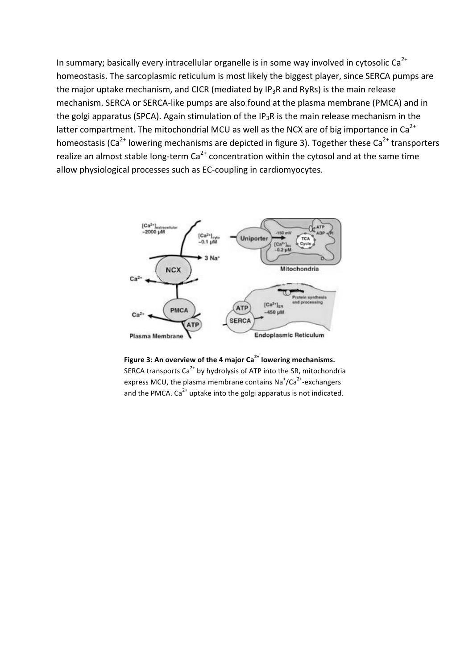In summary; basically every intracellular organelle is in some way involved in cytosolic Ca<sup>2+</sup> homeostasis. The sarcoplasmic reticulum is most likely the biggest player, since SERCA pumps are the major uptake mechanism, and CICR (mediated by IP<sub>3</sub>R and RyRs) is the main release mechanism. SERCA or SERCA-like pumps are also found at the plasma membrane (PMCA) and in the golgi apparatus (SPCA). Again stimulation of the IP<sub>3</sub>R is the main release mechanism in the latter compartment. The mitochondrial MCU as well as the NCX are of big importance in Ca<sup>2+</sup> homeostasis (Ca<sup>2+</sup> lowering mechanisms are depicted in figure 3). Together these Ca<sup>2+</sup> transporters realize an almost stable long-term  $Ca^{2+}$  concentration within the cytosol and at the same time allow
physiological
processes
such
as
EC‐coupling
in
cardiomyocytes.



Figure 3: An overview of the 4 major Ca<sup>2+</sup> lowering mechanisms. SERCA transports Ca<sup>2+</sup> by hydrolysis of ATP into the SR, mitochondria express MCU, the plasma membrane contains Na<sup>+</sup>/Ca<sup>2+</sup>-exchangers and the PMCA.  $Ca^{2+}$  uptake into the golgi apparatus is not indicated.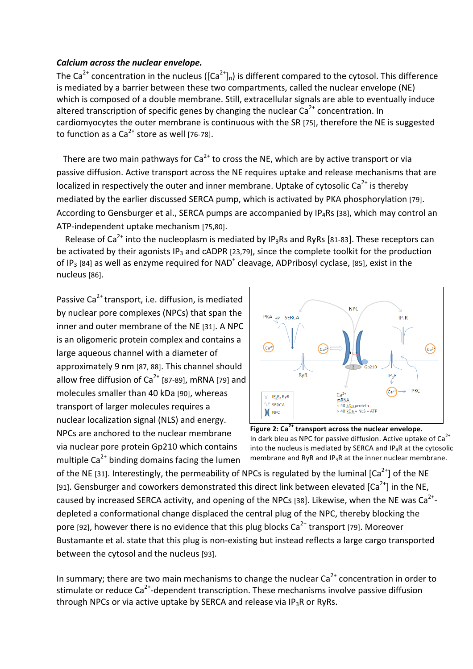#### *Calcium
across
the
nuclear
envelope.*

The Ca<sup>2+</sup> concentration in the nucleus ( $[Ca<sup>2+</sup>]_{n}$ ) is different compared to the cytosol. This difference is mediated by a barrier between these two compartments, called the nuclear envelope (NE) which is composed of a double membrane. Still, extracellular signals are able to eventually induce altered transcription of specific genes by changing the nuclear  $Ca<sup>2+</sup>$  concentration. In cardiomyocytes the outer membrane is continuous with the SR [75], therefore the NE is suggested to function as a  $Ca^{2+}$  store as well [76-78].

There are two main pathways for  $Ca^{2+}$  to cross the NE, which are by active transport or via passive diffusion. Active transport across the NE requires uptake and release mechanisms that are localized in respectively the outer and inner membrane. Uptake of cytosolic Ca<sup>2+</sup> is thereby mediated
by
the
earlier
discussed
SERCA
pump,
which
is
activated
by
PKA
phosphorylation [79]. According to Gensburger et al., SERCA pumps are accompanied by IP<sub>4</sub>Rs [38], which may control an ATP‐independent
uptake
mechanism
[75,80].

Release of  $Ca^{2+}$  into the nucleoplasm is mediated by IP<sub>3</sub>Rs and RyRs [81-83]. These receptors can be activated by their agonists IP<sub>3</sub> and cADPR [23,79], since the complete toolkit for the production of  $IP_3$  [84] as well as enzyme required for NAD<sup>+</sup> cleavage, ADPribosyl cyclase, [85], exist in the nucleus
[86].

Passive Ca<sup>2+</sup> transport, i.e. diffusion, is mediated by
nuclear
pore
complexes
(NPCs)
that
span
the inner and outer membrane of the NE [31]. A NPC is
an
oligomeric protein
complex
and
contains
a large
aqueous
channel
with
a
diameter
of approximately
9
nm
[87, 88].
This
channel
should allow free diffusion of  $Ca^{2+}$  [87-89], mRNA [79] and molecules
smaller
than
40
kDa
[90],
whereas transport
of
larger
molecules
requires a nuclear
localization
signal
(NLS)
and
energy. NPCs are anchored to the nuclear membrane via nuclear
pore
protein
Gp210 which
contains multiple  $Ca^{2+}$  binding domains facing the lumen



Figure 2: Ca<sup>2+</sup> transport across the nuclear envelope. In dark bleu as NPC for passive diffusion. Active uptake of  $Ca<sup>2+</sup>$ into the nucleus is mediated by SERCA and  $IP_4R$  at the cytosolic membrane
and
RyR
and
IP3R
at
the
inner
nuclear
membrane.

of the NE [31]. Interestingly, the permeability of NPCs is regulated by the luminal  $\lceil Ca^{2+} \rceil$  of the NE [91]. Gensburger and coworkers demonstrated this direct link between elevated  $\text{[Ca}^{2+}\text{]}$  in the NE, caused by increased SERCA activity, and opening of the NPCs [38]. Likewise, when the NE was Ca<sup>2+</sup>depleted a conformational change displaced the central plug of the NPC, thereby blocking the pore [92], however there is no evidence that this plug blocks  $Ca^{2+}$  transport [79]. Moreover Bustamante et al. state that this plug is non-existing but instead reflects a large cargo transported between
the
cytosol
and
the
nucleus
[93].

In summary; there are two main mechanisms to change the nuclear  $Ca<sup>2+</sup>$  concentration in order to stimulate or reduce Ca<sup>2+</sup>-dependent transcription. These mechanisms involve passive diffusion through NPCs or via active uptake by SERCA and release via  $IP_3R$  or RyRs.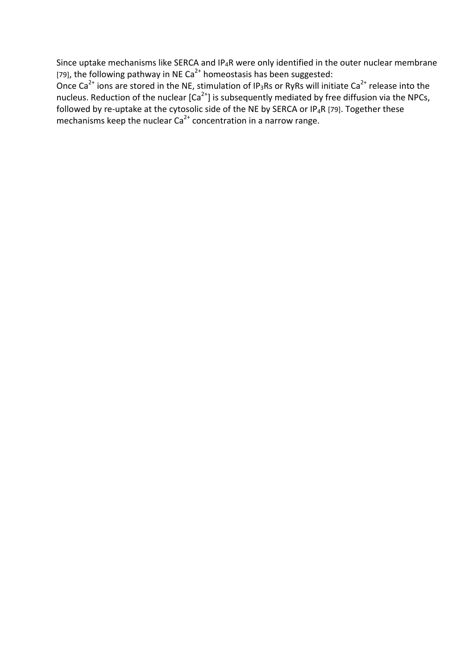Since uptake mechanisms like SERCA and IP<sub>4</sub>R were only identified in the outer nuclear membrane [79], the following pathway in NE Ca<sup>2+</sup> homeostasis has been suggested:

Once Ca<sup>2+</sup> ions are stored in the NE, stimulation of IP<sub>3</sub>Rs or RyRs will initiate Ca<sup>2+</sup> release into the nucleus. Reduction of the nuclear [Ca<sup>2+</sup>] is subsequently mediated by free diffusion via the NPCs, followed by re-uptake at the cytosolic side of the NE by SERCA or IP<sub>4</sub>R [79]. Together these mechanisms keep the nuclear Ca<sup>2+</sup> concentration in a narrow range.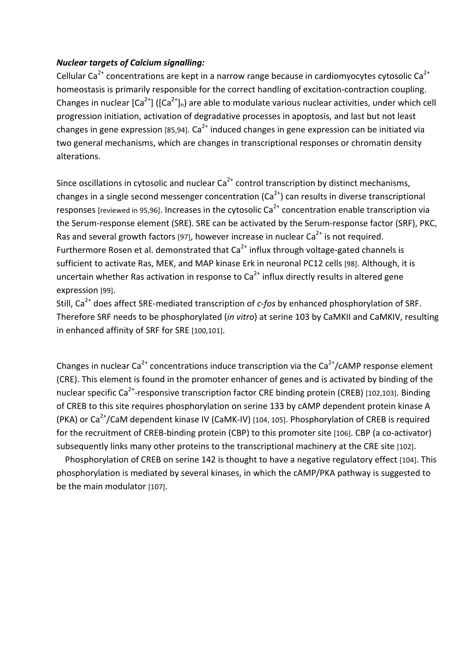#### *Nuclear
targets
of
Calcium
signalling:*

Cellular Ca<sup>2+</sup> concentrations are kept in a narrow range because in cardiomyocytes cytosolic Ca<sup>2+</sup> homeostasis is primarily responsible for the correct handling of excitation-contraction coupling. Changes in nuclear  $\left[Ca^{2+}\right]$  ( $\left[Ca^{2+}\right]_n$ ) are able to modulate various nuclear activities, under which cell progression initiation, activation of degradative processes in apoptosis, and last but not least changes in gene expression [85,94].  $Ca^{2+}$  induced changes in gene expression can be initiated via two general mechanisms, which are changes in transcriptional responses or chromatin density alterations.

Since oscillations in cytosolic and nuclear  $Ca<sup>2+</sup>$  control transcription by distinct mechanisms, changes in a single second messenger concentration  $(Ca^{2})$  can results in diverse transcriptional responses [reviewed in 95,96]. Increases in the cytosolic  $Ca^{2+}$  concentration enable transcription via the
Serum‐response
element
(SRE).
SRE
can
be
activated
by
the
Serum‐response
factor
(SRF),
PKC, Ras and several growth factors [97], however increase in nuclear  $Ca^{2+}$  is not required. Furthermore Rosen et al. demonstrated that  $Ca<sup>2+</sup>$  influx through voltage-gated channels is sufficient to activate Ras, MEK, and MAP kinase Erk in neuronal PC12 cells [98]. Although, it is uncertain whether Ras activation in response to  $Ca<sup>2+</sup>$  influx directly results in altered gene expression
[99].

Still, Ca<sup>2+</sup> does affect SRE-mediated transcription of c-fos by enhanced phosphorylation of SRF. Therefore SRF needs to be phosphorylated (*in vitro*) at serine 103 by CaMKII and CaMKIV, resulting in
enhanced
affinity
of
SRF
for
SRE
[100,101].

Changes in nuclear Ca<sup>2+</sup> concentrations induce transcription via the Ca<sup>2+</sup>/cAMP response element (CRE). This element is found in the promoter enhancer of genes and is activated by binding of the nuclear specific Ca<sup>2+</sup>-responsive transcription factor CRE binding protein (CREB) [102,103]. Binding of CREB to this site requires phosphorylation on serine 133 by cAMP dependent protein kinase A (PKA) or Ca<sup>2+</sup>/CaM dependent kinase IV (CaMK-IV) [104, 105]. Phosphorylation of CREB is required for the recruitment of CREB-binding protein (CBP) to this promoter site [106]. CBP (a co-activator) subsequently links many other proteins to the transcriptional machinery at the CRE site [102].

Phosphorylation of CREB on serine 142 is thought to have a negative regulatory effect [104]. This phosphorylation is mediated by several kinases, in which the cAMP/PKA pathway is suggested to be
the
main
modulator
[107].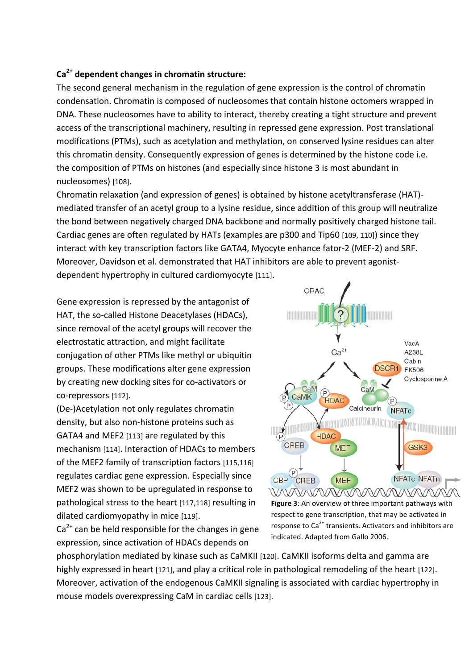#### **Ca2+ dependent
changes
in
chromatin
structure:**

The second general mechanism in the regulation of gene expression is the control of chromatin condensation.
Chromatin
is
composed
of
nucleosomes
that
contain
histone
octomers
wrapped
in DNA. These
nucleosomes
have
to
ability
to
interact,
thereby
creating
a
tight
structure
and
prevent access of the transcriptional machinery, resulting in repressed gene expression. Post translational modifications (PTMs),
such
as acetylation
and
methylation,
on conserved
lysine
residues
can
alter this chromatin density. Consequently expression of genes is determined by the histone code i.e. the composition of PTMs on histones (and especially since histone 3 is most abundant in nucleosomes) [108].

Chromatin relaxation (and expression of genes) is obtained by histone acetyltransferase (HAT)mediated transfer of an acetyl group to a lysine residue, since addition of this group will neutralize the
bond
between
negatively
charged
DNA
backbone
and
normally
positively
charged
histone
tail. Cardiac genes are often regulated by HATs (examples are p300 and Tip60 [109, 110]) since they interact with key transcription factors like GATA4, Myocyte enhance fator-2 (MEF-2) and SRF. Moreover, Davidson et al. demonstrated that HAT inhibitors are able to prevent agonistdependent
hypertrophy
in
cultured
cardiomyocyte
[111].

Gene
expression
is
repressed
by
the
antagonist of HAT, the so-called Histone Deacetylases (HDACs), since
removal
of
the
acetyl
groups
will
recover
the electrostatic
attraction,
and
might
facilitate conjugation
of
other
PTMs
like
methyl
or
ubiquitin groups. These modifications alter
gene
expression by
creating
new
docking sites for
co‐activators
or co‐repressors
[112].

(De‐)Acetylation
not
only
regulates
chromatin density,
but
also
non‐histone
proteins
such
as GATA4
and
MEF2
[113] are
regulated
by
this mechanism [114]. Interaction
of
HDACs
to
members of
the
MEF2
family
of
transcription
factors
[115,116] regulates
cardiac
gene
expression.
Especially
since MEF2
was
shown
to
be
upregulated
in
response
to pathological
stress
to
the
heart [117,118] resulting in dilated cardiomyopathy in mice [119].



CRAC

Figure 3: An overview of three important pathways with respect
to
gene
transcription,
that
may
be
activated
in response to Ca<sup>2+</sup> transients. Activators and inhibitors are indicated.
Adapted
from
Gallo
2006.

 $Ca<sup>2+</sup>$  can be held responsible for the changes in gene expression,
since
activation
of
HDACs
depends
on

phosphorylation mediated by kinase such as CaMKII [120]. CaMKII isoforms delta and gamma are highly expressed in heart [121], and play a critical role in pathological remodeling of the heart [122]. Moreover, activation of the endogenous CaMKII signaling is associated with cardiac hypertrophy in mouse
models
overexpressing
CaM
in
cardiac
cells [123].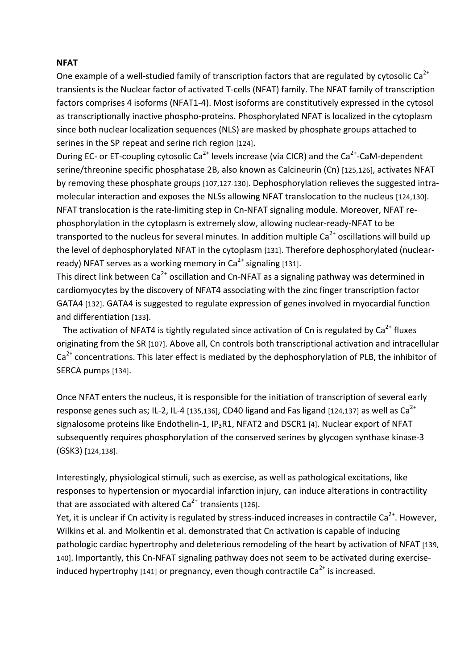#### **NFAT**

One example of a well-studied family of transcription factors that are regulated by cytosolic Ca<sup>2+</sup> transients is the Nuclear factor of activated T-cells (NFAT) family. The NFAT family of transcription factors comprises 4 isoforms (NFAT1-4). Most isoforms are constitutively expressed in the cytosol as transcriptionally inactive phospho-proteins. Phosphorylated NFAT is localized in the cytoplasm since both nuclear localization sequences (NLS) are masked by phosphate groups attached to serines in the SP repeat and serine rich region [124].

During EC- or ET-coupling cytosolic Ca<sup>2+</sup> levels increase (via CICR) and the Ca<sup>2+</sup>-CaM-dependent serine/threonine specific phosphatase 2B, also known as Calcineurin (Cn) [125,126], activates NFAT by removing these phosphate groups [107,127-130]. Dephosphorylation relieves the suggested intramolecular interaction and exposes the NLSs allowing NFAT translocation to the nucleus [124,130]. NFAT translocation is the rate-limiting step in Cn-NFAT signaling module. Moreover, NFAT rephosphorylation in the cytoplasm is extremely slow, allowing nuclear-ready-NFAT to be transported to the nucleus for several minutes. In addition multiple  $Ca<sup>2+</sup>$  oscillations will build up the level of dephosphorylated NFAT in the cytoplasm [131]. Therefore dephosphorylated (nuclearready) NFAT serves as a working memory in  $Ca<sup>2+</sup>$  signaling [131].

This direct link between Ca<sup>2+</sup> oscillation and Cn-NFAT as a signaling pathway was determined in cardiomyocytes
by
the
discovery
of
NFAT4
associating
with
the
zinc
finger
transcription factor GATA4 [132]. GATA4 is suggested to regulate expression of genes involved in myocardial function and
differentiation
[133].

The activation of NFAT4 is tightly regulated since activation of Cn is regulated by  $Ca<sup>2+</sup>$  fluxes originating from the SR [107]. Above all, Cn controls both transcriptional activation and intracellular  $Ca<sup>2+</sup>$  concentrations. This later effect is mediated by the dephosphorylation of PLB, the inhibitor of SERCA
pumps
[134].

Once NFAT enters the nucleus, it is responsible for the initiation of transcription of several early response genes such as; IL-2, IL-4 [135,136], CD40 ligand and Fas ligand [124,137] as well as Ca<sup>2+</sup> signalosome proteins like Endothelin-1, IP<sub>3</sub>R1, NFAT2 and DSCR1 [4]. Nuclear export of NFAT subsequently
requires
phosphorylation
of
the
conserved
serines
by
glycogen
synthase
kinase‐3 (GSK3)
[124,138].

Interestingly, physiological stimuli, such as exercise, as well as pathological excitations, like responses to hypertension or myocardial infarction injury, can induce alterations in contractility that are associated with altered  $Ca<sup>2+</sup>$  transients [126].

Yet, it is unclear if Cn activity is regulated by stress-induced increases in contractile Ca<sup>2+</sup>. However, Wilkins et al. and Molkentin et al. demonstrated that Cn activation is capable of inducing pathologic cardiac hypertrophy and deleterious remodeling of the heart by activation of NFAT [139, 140]. Importantly, this Cn-NFAT signaling pathway does not seem to be activated during exerciseinduced hypertrophy [141] or pregnancy, even though contractile  $Ca<sup>2+</sup>$  is increased.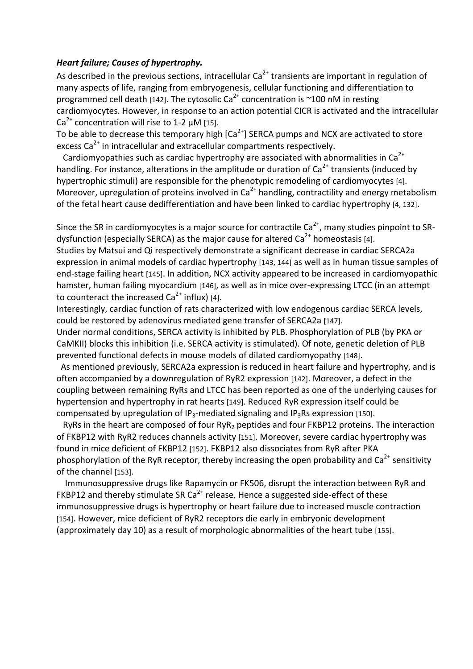#### *Heart
failure;
Causes
of
hypertrophy.*

As described in the previous sections, intracellular  $Ca<sup>2+</sup>$  transients are important in regulation of many aspects of life, ranging from embryogenesis, cellular functioning and differentiation to programmed cell death [142]. The cytosolic Ca<sup>2+</sup> concentration is ~100 nM in resting cardiomyocytes. However, in response to an action potential CICR is activated and the intracellular Ca<sup>2+</sup> concentration will rise to 1-2  $\mu$ M [15].

To be able to decrease this temporary high  $\left[Ca^{2+}\right]$  SERCA pumps and NCX are activated to store excess Ca<sup>2+</sup> in intracellular and extracellular compartments respectively.

Cardiomyopathies such as cardiac hypertrophy are associated with abnormalities in  $Ca^{2+}$ handling. For instance, alterations in the amplitude or duration of  $Ca<sup>2+</sup>$  transients (induced by hypertrophic stimuli) are responsible for the phenotypic remodeling of cardiomyocytes [4]. Moreover, upregulation of proteins involved in  $Ca^{2+}$  handling, contractility and energy metabolism of
the
fetal
heart
cause
dedifferentiation
and
have
been linked
to
cardiac
hypertrophy
[4,
132].

Since the SR in cardiomyocytes is a major source for contractile  $Ca<sup>2+</sup>$ , many studies pinpoint to SRdysfunction (especially SERCA) as the major cause for altered  $Ca<sup>2+</sup>$  homeostasis [4].

Studies
by Matsui
and
Qi respectively
demonstrate
a significant
decrease
in
cardiac
SERCA2a expression in animal models of cardiac hypertrophy [143, 144] as well as in human tissue samples of end-stage failing heart [145]. In addition, NCX activity appeared to be increased in cardiomyopathic hamster, human failing myocardium [146], as well as in mice over-expressing LTCC (in an attempt to counteract the increased  $Ca<sup>2+</sup>$  influx) [4].

Interestingly, cardiac function of rats characterized with low endogenous cardiac SERCA levels, could
be
restored
by
adenovirus
mediated
gene
transfer
of
SERCA2a
[147].

Under normal conditions, SERCA activity is inhibited by PLB. Phosphorylation of PLB (by PKA or CaMKII) blocks this inhibition (i.e. SERCA activity is stimulated). Of note, genetic deletion of PLB prevented
functional
defects
in
mouse
models
of
dilated
cardiomyopathy
[148].

As
mentioned
previously,
SERCA2a
expression
is
reduced
in
heart
failure
and
hypertrophy,
and
is often
accompanied by
a
downregulation
of
RyR2
expression
[142].
Moreover,
a
defect
in
the coupling
between
remaining
RyRs
and
LTCC
has been
reported
as
one
of
the
underlying
causes for hypertension and hypertrophy in rat hearts [149]. Reduced RyR expression itself could be compensated by upregulation of IP<sub>3</sub>-mediated signaling and IP<sub>3</sub>Rs expression [150].

RyRs in the heart are composed of four RyR<sub>2</sub> peptides and four FKBP12 proteins. The interaction of
FKBP12
with
RyR2
reduces
channels
activity
[151].
Moreover, severe
cardiac
hypertrophy
was found in mice deficient of FKBP12 [152]. FKBP12 also dissociates from RyR after PKA phosphorylation of the RyR receptor, thereby increasing the open probability and Ca<sup>2+</sup> sensitivity of
the
channel
[153].

Immunosuppressive
drugs
like
Rapamycin
or
FK506,
disrupt
the interaction
between
RyR
and FKBP12 and thereby stimulate SR Ca<sup>2+</sup> release. Hence a suggested side-effect of these immunosuppressive drugs is hypertrophy or heart failure due to increased muscle contraction [154]. However, mice deficient of RyR2 receptors die early in embryonic development (approximately
day
10)
as
a
result
of
morphologic
abnormalities
of
the
heart
tube
[155].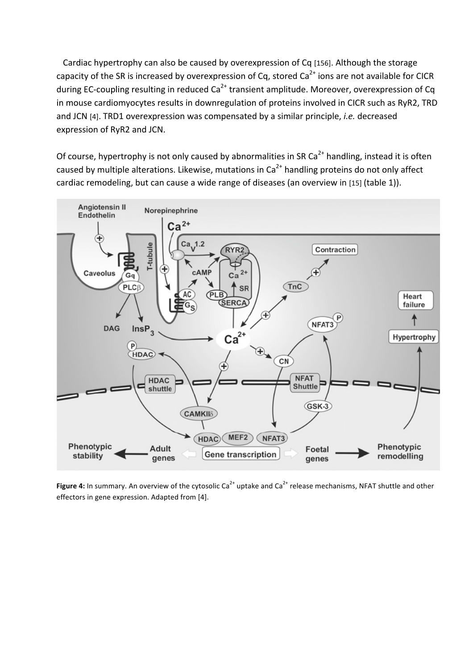Cardiac hypertrophy can also be caused by overexpression of Cq [156]. Although the storage capacity of the SR is increased by overexpression of Cq, stored  $Ca<sup>2+</sup>$  ions are not available for CICR during EC-coupling resulting in reduced Ca<sup>2+</sup> transient amplitude. Moreover, overexpression of Cq in mouse cardiomyocytes results in downregulation of proteins involved in CICR such as RyR2, TRD and
JCN
[4].
TRD1
overexpression
was
compensated
by a
similar
principle, *i.e.* decreased expression
of RyR2
and
JCN.

Of course, hypertrophy is not only caused by abnormalities in SR Ca<sup>2+</sup> handling, instead it is often caused by multiple alterations. Likewise, mutations in  $Ca<sup>2+</sup>$  handling proteins do not only affect cardiac remodeling, but can cause a wide range of diseases (an overview in [15] (table 1)).



Figure 4: In summary. An overview of the cytosolic Ca<sup>2+</sup> uptake and Ca<sup>2+</sup> release mechanisms, NFAT shuttle and other effectors
in
gene
expression.
Adapted
from
[4].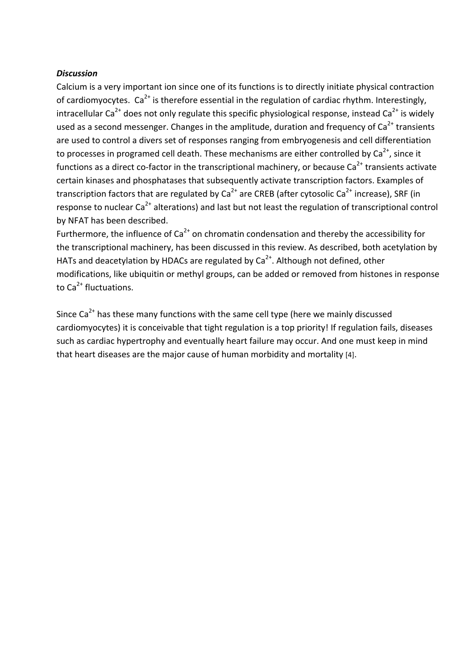#### *Discussion*

Calcium is a very important ion since one of its functions is to directly initiate physical contraction of cardiomyocytes.  $Ca^{2+}$  is therefore essential in the regulation of cardiac rhythm. Interestingly, intracellular Ca<sup>2+</sup> does not only regulate this specific physiological response, instead Ca<sup>2+</sup> is widely used as a second messenger. Changes in the amplitude, duration and frequency of  $Ca<sup>2+</sup>$  transients are
used
to
control
a
divers
set
of
responses
ranging
from
embryogenesis
and
cell
differentiation to processes in programed cell death. These mechanisms are either controlled by Ca<sup>2+</sup>, since it functions as a direct co-factor in the transcriptional machinery, or because  $Ca<sup>2+</sup>$  transients activate certain
kinases
and
phosphatases
that
subsequently
activate
transcription
factors.
Examples
of transcription factors that are regulated by  $Ca^{2+}$  are CREB (after cytosolic  $Ca^{2+}$  increase), SRF (in response to nuclear  $Ca^{2+}$  alterations) and last but not least the regulation of transcriptional control by
NFAT
has
been
described.

Furthermore, the influence of  $Ca<sup>2+</sup>$  on chromatin condensation and thereby the accessibility for the
transcriptional
machinery,
has
been
discussed in
this review.
As
described, both
acetylation
by HATs and deacetylation by HDACs are regulated by  $Ca<sup>2+</sup>$ . Although not defined, other modifications, like ubiquitin or methyl groups, can be added or removed from histones in response to  $Ca^{2+}$  fluctuations.

Since Ca<sup>2+</sup> has these many functions with the same cell type (here we mainly discussed cardiomyocytes) it is conceivable that tight regulation is a top priority! If regulation fails, diseases such as cardiac hypertrophy and eventually heart failure may occur. And one must keep in mind that heart diseases are the major cause of human morbidity and mortality [4].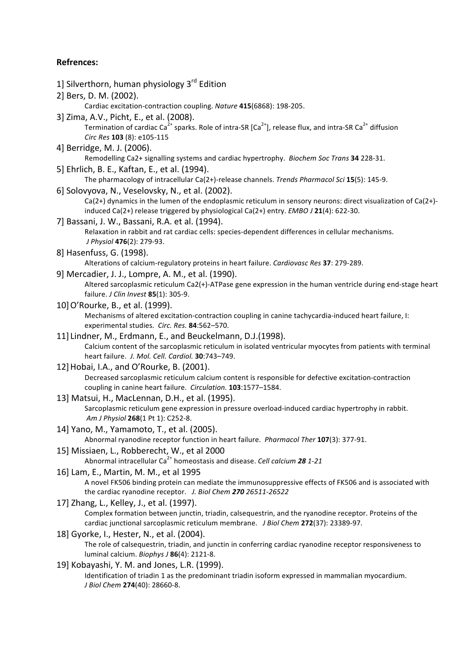#### **Refrences:**

- 1] Silverthorn, human physiology 3<sup>rd</sup> Edition
- 2] Bers,
D.
M.
(2002).

Cardiac
excitation‐contraction
coupling. *Nature* **415**(6868):
198‐205.

- 3]
Zima,
A.V.,
Picht,
E.,
et
al.
(2008). Termination of cardiac Ca<sup>2+</sup> sparks. Role of intra-SR  $[Ca^{2+}]$ , release flux, and intra-SR Ca<sup>2+</sup> diffusion *Circ Res* **103** (8):
e105‐115
- 4] Berridge,
M.
J.
(2006). Remodelling
Ca2+
signalling
systems
and
cardiac
hypertrophy. *Biochem
Soc
Trans* **34** 228‐31.
- 5]
Ehrlich,
B.
E.,
Kaftan,
E.,
et
al.
(1994).

The
pharmacology
of
intracellular
Ca(2+)‐release
channels. *Trends
Pharmacol
Sci* **15**(5):
145‐9.

6]
Solovyova,
N.,
Veselovsky,
N.,
et
al.
(2002).

Ca(2+) dynamics in the lumen of the endoplasmic reticulum in sensory neurons: direct visualization of Ca(2+)induced
Ca(2+)
release
triggered
by
physiological
Ca(2+)
entry. *EMBO
J* **21**(4):
622‐30.

- 7]
Bassani,
J.
W.,
Bassani,
R.A.
et
al.
(1994). Relaxation in rabbit and rat cardiac cells: species-dependent differences in cellular mechanisms. *J
Physiol* **476**(2):
279‐93.
- 8]
Hasenfuss,
G.
(1998).

Alterations
of
calcium‐regulatory
proteins
in
heart
failure. *Cardiovasc Res* **37**:
279‐289.

9]
Mercadier,
J.
J.,
Lompre,
A.
M.,
et
al.
(1990).

Altered sarcoplasmic reticulum Ca2(+)-ATPase gene expression in the human ventricle during end-stage heart failure. *J
Clin
Invest* **85**(1):
305‐9.

- 10]O'Rourke,
B.,
et
al.
(1999). Mechanisms of altered excitation-contraction coupling in canine tachycardia-induced heart failure, I: experimental
studies. *Circ.
Res.* **84**:562–570.
- 11] Lindner,
M.,
Erdmann,
E.,
and
Beuckelmann,
D.J.(1998). Calcium content of the sarcoplasmic reticulum in isolated ventricular myocytes from patients with terminal heart
failure. *J.
Mol.
Cell.
Cardiol.* **30**:743–749.
- 12]Hobai,
I.A.,
and
O'Rourke,
B.
(2001). Decreased sarcoplasmic reticulum calcium content is responsible for defective excitation-contraction coupling
in
canine
heart
failure. *Circulation.* **103**:1577–1584.
- 13]
Matsui,
H.,
MacLennan,
D.H.,
et
al.
(1995). Sarcoplasmic reticulum gene expression in pressure overload-induced cardiac hypertrophy in rabbit. *Am
J
Physiol* **268**(1
Pt
1):
C252‐8.
- 14]
Yano,
M.,
Yamamoto,
T.,
et
al.
(2005). Abnormal
ryanodine
receptor
function
in
heart
failure. *Pharmacol
Ther* **107**(3):
377‐91.
- 15]
Missiaen,
L.,
Robberecht,
W., et
al
2000 Abnormal intracellular Ca<sup>2+</sup> homeostasis and disease. *Cell calcium* 28 1-21
- 16]
Lam,
E.,
Martin,
M.
M.,
et
al
1995 A
novel
FK506
binding
protein
can
mediate
the
immunosuppressive
effects
of
FK506
and
is
associated
with the
cardiac
ryanodine
receptor. *J.
Biol
Chem 270 26511‐26522*
- 17] Zhang, L., Kelley, J., et al. (1997).

Complex formation between junctin, triadin, calsequestrin, and the ryanodine receptor. Proteins of the cardiac
junctional
sarcoplasmic
reticulum
membrane. *J
Biol
Chem* **272**(37):
23389‐97.

- 18] Gyorke, I., Hester, N., et al. (2004). The role of calsequestrin, triadin, and junctin in conferring cardiac ryanodine receptor responsiveness to luminal
calcium. *Biophys
J* **86**(4):
2121‐8.
- 19]
Kobayashi,
Y.
M.
and
Jones,
L.R.
(1999). Identification of triadin 1 as the predominant triadin isoform expressed in mammalian myocardium. *J
Biol
Chem* **274**(40):
28660‐8.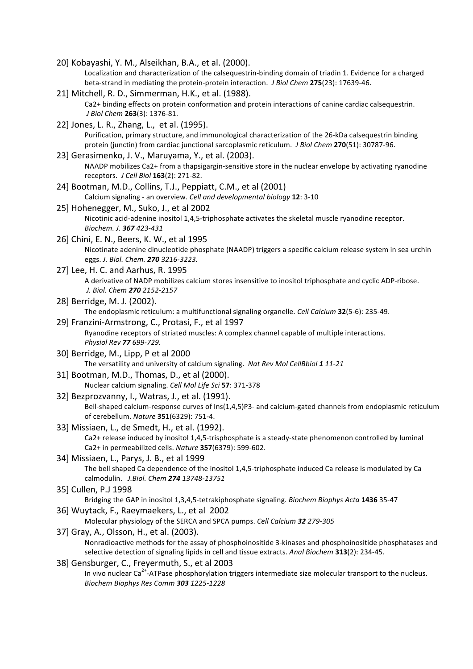- 20]
Kobayashi,
Y.
M.,
Alseikhan,
B.A.,
et
al.
(2000). Localization and characterization of the calsequestrin-binding domain of triadin 1. Evidence for a charged beta-strand in mediating the protein-protein interaction. J Biol Chem 275(23): 17639-46.
- 21]
Mitchell,
R.
D.,
Simmerman,
H.K.,
et
al.
(1988). Ca2+ binding effects on protein conformation and protein interactions of canine cardiac calsequestrin. *J
Biol
Chem* **263**(3):
1376‐81.
- 22]
Jones,
L.
R.,
Zhang,
L.,

et
al.
(1995). Purification, primary structure, and immunological characterization of the 26-kDa calsequestrin binding protein
(junctin)
from
cardiac
junctional
sarcoplasmic
reticulum. *J
Biol
Chem* **270**(51):
30787‐96.
- 23]
Gerasimenko,
J.
V.,
Maruyama,
Y.,
et
al.
(2003). NAADP mobilizes Ca2+ from a thapsigargin-sensitive store in the nuclear envelope by activating ryanodine receptors. *J
Cell
Biol* **163**(2):
271‐82.
- 24] Bootman, M.D., Collins, T.J., Peppiatt, C.M., et al (2001) Calcium
signaling
‐ an
overview. *Cell
and
developmental
biology* **12**:
3‐10
- 25]
Hohenegger,
M.,
Suko,
J.,
et
al
2002 Nicotinic acid-adenine inositol 1,4,5-triphosphate activates the skeletal muscle ryanodine receptor. *Biochem. J. 367 423‐431*
- 26]
Chini,
E.
N.,
Beers,
K.
W.,
et
al
1995 Nicotinate adenine dinucleotide phosphate (NAADP) triggers a specific calcium release system in sea urchin eggs. *J.
Biol.
Chem. 270 3216‐3223.*
- 27]
Lee,
H.
C.
and
Aarhus,
R.
1995 A derivative of NADP mobilizes calcium stores insensitive to inositol triphosphate and cyclic ADP-ribose. *J.
Biol.
Chem 270 2152‐2157*
- 28]
Berridge,
M.
J.
(2002). The
endoplasmic
reticulum:
a
multifunctional
signaling
organelle. *Cell
Calcium* **32**(5‐6):
235‐49.
- 29]
Franzini‐Armstrong,
C.,
Protasi,
F.,
et
al
1997 Ryanodine
receptors
of
striated
muscles:
A
complex
channel
capable
of
multiple
interactions. *Physiol
Rev 77 699‐729.*
- 30]
Berridge,
M.,
Lipp,
P
et
al
2000 The
versatility
and
university
of
calcium
signaling. *Nat
Rev
Mol
CellBbiol 1 11‐21*
- 31]
Bootman,
M.D.,
Thomas,
D.,
et
al
(2000). Nuclear
calcium
signaling. *Cell
Mol
Life
Sci* **57**:
371‐378
- 32]
Bezprozvanny,
I.,
Watras,
J.,
et
al.
(1991).

Bell-shaped calcium-response curves of Ins(1,4,5)P3- and calcium-gated channels from endoplasmic reticulum of
cerebellum. *Nature* **351**(6329):
751‐4.

- 33]
Missiaen,
L.,
de
Smedt,
H.,
et
al.
(1992). Ca2+ release induced by inositol 1,4,5-trisphosphate is a steady-state phenomenon controlled by luminal Ca2+
in
permeabilized
cells. *Nature* **357**(6379):
599‐602.
- 34]
Missiaen,
L.,
Parys,
J.
B.,
et
al
1999 The bell shaped Ca dependence of the inositol 1,4,5-triphosphate induced Ca release is modulated by Ca calmodulin. *J.Biol. Chem 274 13748‐13751*
- 35]
Cullen,
P.J
1998

Bridging
the
GAP
in
inositol
1,3,4,5‐tetrakiphosphate
signaling. *Biochem
Biophys
Acta* **1436** 35‐47

36]
Wuytack,
F.,
Raeymaekers,
L.,
et
al

2002

Molecular physiology of the SERCA and SPCA pumps. Cell Calcium 32 279-305

- 37]
Gray,
A.,
Olsson,
H.,
et
al.
(2003). Nonradioactive methods for the assay of phosphoinositide 3-kinases and phosphoinositide phosphatases and selective detection of signaling lipids in cell and tissue extracts. Anal Biochem 313(2): 234-45.
- 38]
Gensburger,
C.,
Freyermuth,
S.,
et
al
2003 In vivo nuclear Ca<sup>2+</sup>-ATPase phosphorylation triggers intermediate size molecular transport to the nucleus. *Biochem
Biophys
Res
Comm 303 1225‐1228*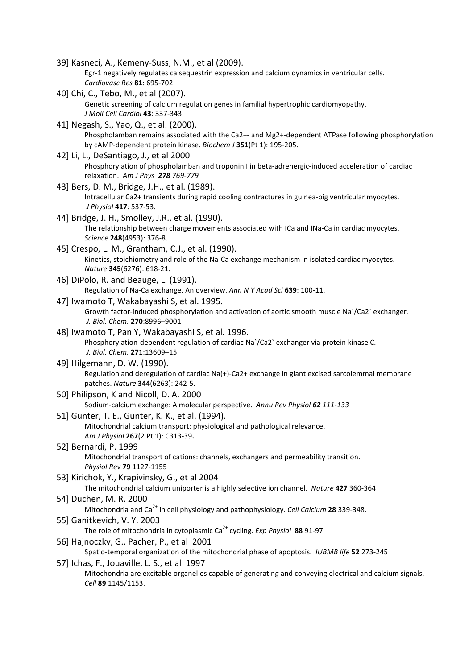39]
Kasneci,
A.,
Kemeny‐Suss,
N.M.,
et
al
(2009). Egr-1 negatively regulates calsequestrin expression and calcium dynamics in ventricular cells. *Cardiovasc
Res* **81**:
695‐702 40]
Chi,
C.,
Tebo,
M.,
et
al
(2007). Genetic
screening
of
calcium
regulation
genes
in
familial
hypertrophic
cardiomyopathy. *J
Moll
Cell
Cardiol* **43**:
337‐343 41]
Negash,
S.,
Yao,
Q.,
et
al.
(2000). Phospholamban remains associated with the Ca2+- and Mg2+-dependent ATPase following phosphorylation by
cAMP‐dependent
protein
kinase. *Biochem
J* **351**(Pt
1):
195‐205. 42]
Li,
L.,
DeSantiago,
J.,
et
al
2000 Phosphorylation of phospholamban and troponin I in beta-adrenergic-induced acceleration of cardiac relaxation. *Am
J
Phys 278 769‐779* 43]
Bers,
D.
M.,
Bridge,
J.H.,
et
al.
(1989). Intracellular Ca2+ transients during rapid cooling contractures in guinea-pig ventricular myocytes. *J
Physiol* **417**:
537‐53. 44]
Bridge,
J.
H.,
Smolley,
J.R.,
et
al.
(1990). The relationship between charge movements associated with ICa and INa-Ca in cardiac myocytes. *Science* **248**(4953):
376‐8. 45]
Crespo,
L.
M.,
Grantham,
C.J.,
et
al.
(1990). Kinetics, stoichiometry and role of the Na-Ca exchange mechanism in isolated cardiac myocytes. *Nature* **345**(6276):
618‐21. 46]
DiPolo,
R.
and
Beauge,
L.
(1991). Regulation of Na-Ca exchange. An overview. Ann N Y Acad Sci 639: 100-11. 47]
Iwamoto
T,
Wakabayashi
S,
et
al.
1995. Growth factor-induced phosphorylation and activation of aortic smooth muscle Na`/Ca2` exchanger. *J.
Biol.
Chem.* **270**:8996–9001 48]
Iwamoto
T,
Pan
Y,
Wakabayashi
S,
et
al.
1996. Phosphorylation-dependent regulation of cardiac Na`/Ca2` exchanger via protein kinase C. *J.
Biol.
Chem.* **271**:13609–15 49]
Hilgemann,
D.
W.
(1990). Regulation and deregulation of cardiac Na(+)-Ca2+ exchange in giant excised sarcolemmal membrane patches. *Nature* **344**(6263):
242‐5. 50]
Philipson,
K
and
Nicoll,
D.
A.
2000 Sodium‐calcium
exchange:
A
molecular
perspective. *Annu
Rev
Physiol 62 111‐133* 51]
Gunter,
T.
E.,
Gunter,
K.
K.,
et
al.
(1994). Mitochondrial
calcium
transport:
physiological
and
pathological
relevance. *Am
J
Physiol* **267**(2
Pt
1):
C313‐39**.** 52]
Bernardi,
P.
1999 Mitochondrial transport of cations: channels, exchangers and permeability transition. *Physiol
Rev* **79** 1127‐1155 53]
Kirichok,
Y.,
Krapivinsky,
G.,
et
al
2004 The
mitochondrial
calcium
uniporter
is
a
highly
selective
ion
channel. *Nature* **427** 360‐364 54]
Duchen,
M.
R.
2000 Mitochondria and Ca<sup>2+</sup> in cell physiology and pathophysiology. *Cell Calcium* 28 339-348. 55]
Ganitkevich,
V.
Y.
2003 The role of mitochondria in cytoplasmic Ca<sup>2+</sup> cycling. Exp Physiol 88 91-97 56]
Hajnoczky,
G.,
Pacher,
P.,
et
al

2001 Spatio-temporal organization of the mitochondrial phase of apoptosis. *IUBMB life* 52 273-245 57]
Ichas,
F.,
Jouaville,
L.
S.,
et
al

1997 Mitochondria are excitable organelles capable of generating and conveying electrical and calcium signals. *Cell* **89** 1145/1153.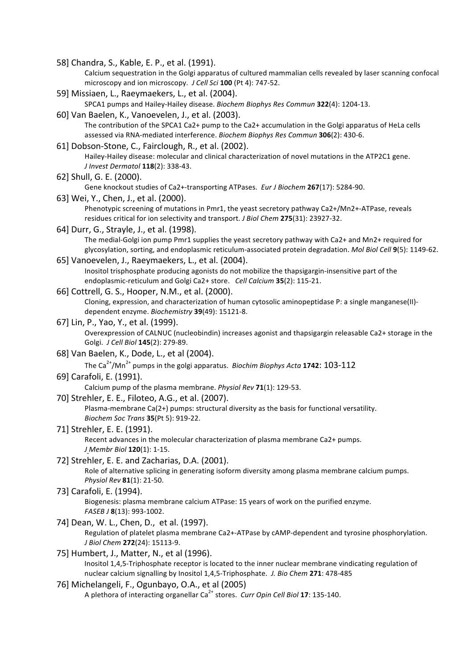58]
Chandra,
S.,
Kable,
E.
P.,
et
al.
(1991).

Calcium sequestration in the Golgi apparatus of cultured mammalian cells revealed by laser scanning confocal microscopy
and
ion
microscopy. *J
Cell
Sci* **100** (Pt
4): 747‐52.

- 59]
Missiaen,
L.,
Raeymaekers,
L.,
et
al.
(2004). SPCA1
pumps
and
Hailey‐Hailey
disease. *Biochem
Biophys
Res
Commun* **322**(4):
1204‐13.
- 60]
Van
Baelen,
K.,
Vanoevelen,
J.,
et
al.
(2003).

The contribution of the SPCA1 Ca2+ pump to the Ca2+ accumulation in the Golgi apparatus of HeLa cells assessed
via
RNA‐mediated
interference. *Biochem
Biophys
Res
Commun* **306**(2):
430‐6.

61]
Dobson‐Stone,
C.,
Fairclough,
R.,
et
al.
(2002).

Hailey-Hailey disease: molecular and clinical characterization of novel mutations in the ATP2C1 gene. *J
Invest
Dermatol* **118**(2):
338‐43.

62]
Shull,
G.
E.
(2000).

Gene knockout studies of Ca2+-transporting ATPases. *Eur J Biochem* 267(17): 5284-90.

- 63]
Wei,
Y.,
Chen,
J.,
et
al.
(2000). Phenotypic screening of mutations in Pmr1, the yeast secretory pathway Ca2+/Mn2+-ATPase, reveals residues critical for ion selectivity and transport. *J Biol Chem* 275(31): 23927-32.
- 64]
Durr,
G.,
Strayle,
J.,
et
al.
(1998). The medial-Golgi ion pump Pmr1 supplies the yeast secretory pathway with Ca2+ and Mn2+ required for glycosylation,
sorting,
and
endoplasmic
reticulum‐associated
protein
degradation. *Mol
Biol
Cell* **9**(5):
1149‐62.
- 65]
Vanoevelen,
J.,
Raeymaekers,
L.,
et
al.
(2004). Inositol trisphosphate producing agonists do not mobilize the thapsigargin-insensitive part of the endoplasmic‐reticulum
and
Golgi
Ca2+
store. *Cell
Calcium* **35**(2):
115‐21.
- 66]
Cottrell,
G.
S.,
Hooper,
N.M.,
et
al.
(2000). Cloning, expression, and characterization of human cytosolic aminopeptidase P: a single manganese(II)dependent
enzyme. *Biochemistry* **39**(49):
15121‐8.
- 67]
Lin,
P.,
Yao,
Y.,
et
al.
(1999). Overexpression of CALNUC (nucleobindin) increases agonist and thapsigargin releasable Ca2+ storage in the Golgi. *J
Cell
Biol* **145**(2):
279‐89.
- 68]
Van
Baelen,
K.,
Dode,
L.,
et
al
(2004).

The Ca<sup>2+</sup>/Mn<sup>2+</sup> pumps in the golgi apparatus. *Biochim Biophys Acta* **1742**: **103-112** 

69]
Carafoli,
E.
(1991).

Calcium
pump
of
the
plasma
membrane. *Physiol
Rev* **71**(1):
129‐53.

70]
Strehler,
E.
E.,
Filoteo,
A.G.,
et
al.
(2007).

Plasma-membrane Ca(2+) pumps: structural diversity as the basis for functional versatility. *Biochem
Soc
Trans* **35**(Pt
5):
919‐22.

- 71]
Strehler,
E.
E.
(1991). Recent advances in the molecular characterization of plasma membrane Ca2+ pumps. *J Membr
Biol* **120**(1):
1‐15.
- 72]
Strehler,
E.
E.
and
Zacharias,
D.A.
(2001). Role of alternative splicing in generating isoform diversity among plasma membrane calcium pumps. *Physiol
Rev* **81**(1):
21‐50.
- 73]
Carafoli,
E.
(1994). Biogenesis:
plasma
membrane
calcium
ATPase:
15
years
of
work
on
the
purified
enzyme. *FASEB
J* **8**(13):
993‐1002.
- 74] Dean, W. L., Chen, D., et al. (1997).

Regulation of platelet plasma membrane Ca2+-ATPase by cAMP-dependent and tyrosine phosphorylation. *J
Biol
Chem* **272**(24):
15113‐9.

75]
Humbert,
J.,
Matter,
N.,
et
al
(1996). Inositol 1,4,5-Triphosphate receptor is located to the inner nuclear membrane vindicating regulation of nuclear
calcium
signalling
by
Inositol
1,4,5‐Triphosphate. *J. Bio
Chem* **271**:
478‐485

#### 76]
Michelangeli,
F.,
Ogunbayo,
O.A.,
et
al
(2005)

A plethora of interacting organellar Ca<sup>2+</sup> stores. *Curr Opin Cell Biol* 17: 135-140.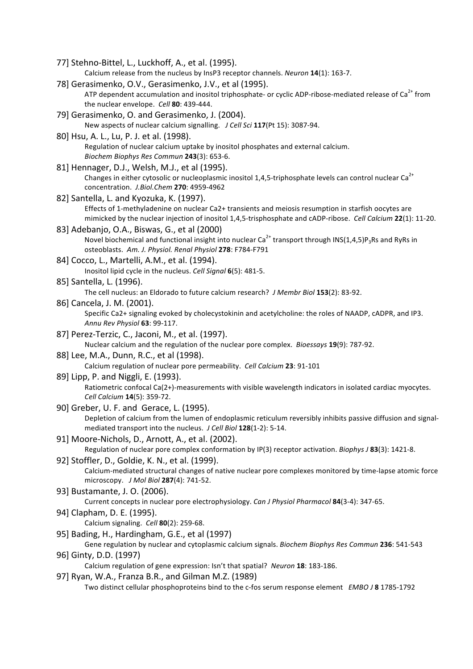77]
Stehno‐Bittel,
L.,
Luckhoff,
A.,
et
al.
(1995).

Calcium
release
from
the
nucleus
by
InsP3
receptor
channels. *Neuron* **14**(1):
163‐7.

- 78]
Gerasimenko,
O.V.,
Gerasimenko,
J.V.,
et
al
(1995). ATP dependent accumulation and inositol triphosphate- or cyclic ADP-ribose-mediated release of Ca<sup>2+</sup> from the
nuclear
envelope. *Cell* **80**:
439‐444.
- 79]
Gerasimenko,
O.
and
Gerasimenko,
J.
(2004). New aspects of nuclear calcium signalling. J Cell Sci 117(Pt 15): 3087-94.
- 80]
Hsu,
A.
L.,
Lu,
P.
J.
et
al.
(1998). Regulation of nuclear calcium uptake by inositol phosphates and external calcium. *Biochem
Biophys
Res
Commun* **243**(3):
653‐6.
- 81]
Hennager,
D.J.,
Welsh,
M.J.,
et
al
(1995). Changes in either cytosolic or nucleoplasmic inositol 1,4,5-triphosphate levels can control nuclear Ca<sup>2+</sup> concentration. *J.Biol.Chem* **270**:
4959‐4962
- 82]
Santella,
L.
and
Kyozuka,
K.
(1997). Effects of 1-methyladenine on nuclear Ca2+ transients and meiosis resumption in starfish oocytes are mimicked by the nuclear injection of inositol 1,4,5-trisphosphate and cADP-ribose. Cell Calcium 22(1): 11-20.
- 83]
Adebanjo,
O.A.,
Biswas,
G.,
et
al
(2000) Novel biochemical and functional insight into nuclear  $Ca^{2+}$  transport through INS(1,4,5)P<sub>3</sub>Rs and RyRs in osteoblasts. *Am.
J.
Physiol.
Renal
Physiol* **278**:
F784‐F791
- 84]
Cocco,
L.,
Martelli,
A.M.,
et
al.
(1994). Inositol
lipid
cycle
in
the
nucleus. *Cell
Signal* **6**(5):
481‐5.
- 85]
Santella,
L.
(1996).

The
cell
nucleus:
an
Eldorado
to
future
calcium
research? *J
Membr
Biol* **153**(2):
83‐92.

- 86]
Cancela,
J.
M.
(2001). Specific Ca2+ signaling evoked by cholecystokinin and acetylcholine: the roles of NAADP, cADPR, and IP3. *Annu
Rev
Physiol* **63**:
99‐117.
- 87]
Perez‐Terzic,
C.,
Jaconi,
M.,
et
al.
(1997). Nuclear calcium and the regulation of the nuclear pore complex. Bioessays 19(9): 787-92.
- 88]
Lee,
M.A.,
Dunn,
R.C.,
et
al
(1998). Calcium
regulation
of
nuclear
pore
permeability. *Cell Calcium* **23**:
91‐101
- 89]
Lipp,
P.
and
Niggli,
E.
(1993). Ratiometric confocal Ca(2+)-measurements with visible wavelength indicators in isolated cardiac myocytes. *Cell
Calcium* **14**(5):
359‐72.
- 90]
Greber,
U.
F.
and

Gerace,
L.
(1995). Depletion of calcium from the lumen of endoplasmic reticulum reversibly inhibits passive diffusion and signalmediated transport into the nucleus. *J Cell Biol* 128(1-2): 5-14.
- 91]
Moore‐Nichols,
D.,
Arnott,
A.,
et
al.
(2002). Regulation of nuclear pore complex conformation by IP(3) receptor activation. *Biophys J* 83(3): 1421-8. 92]
Stoffler,
D.,
Goldie,
K.
N.,
et
al.
(1999).
- Calcium-mediated structural changes of native nuclear pore complexes monitored by time-lapse atomic force microscopy. *J
Mol
Biol* **287**(4):
741‐52.
- 93]
Bustamante,
J.
O.
(2006). Current
concepts
in
nuclear
pore
electrophysiology. *Can
J
Physiol
Pharmacol* **84**(3‐4):
347‐65.
- 94]
Clapham,
D.
E.
(1995). Calcium
signaling. *Cell* **80**(2):
259‐68.
- 95] Bading, H., Hardingham, G.E., et al (1997)

Gene regulation by nuclear and cytoplasmic calcium signals. Biochem Biophys Res Commun 236: 541-543 96]
Ginty,
D.D.
(1997)

Calcium
regulation
of
gene
expression:
Isn't
that
spatial? *Neuron* **18**:
183‐186.

97]
Ryan,
W.A.,
Franza
B.R.,
and
Gilman
M.Z.
(1989)

Two distinct cellular phosphoproteins bind to the c-fos serum response element *EMBO J* 8 1785-1792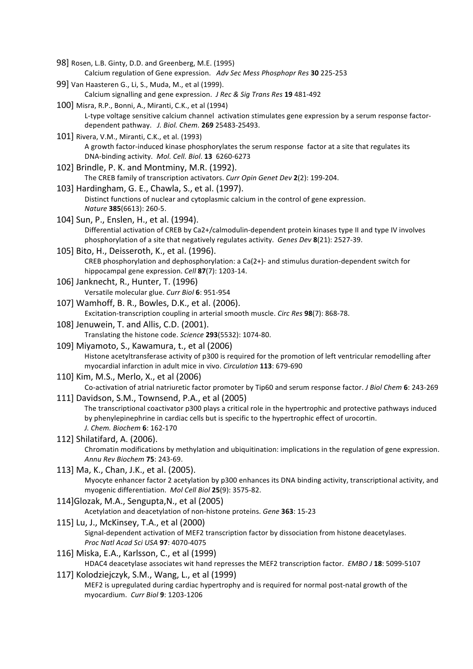- 98]
Rosen,
L.B.
Ginty,
D.D.
and
Greenberg,
M.E.
(1995) Calcium
regulation
of
Gene
expression. *Adv
Sec Mess
Phosphopr Res* **30** 225‐253
- 99]
Van
Haasteren
G.,
Li,
S.,
Muda,
M.,
et
al
(1999). Calcium
signalling
and
gene
expression. *J
Rec
&
Sig
Trans Res* **19** 481‐492
- 100]
Misra,
R.P.,
Bonni,
A.,
Miranti,
C.K.,
et
al
(1994) L-type voltage sensitive calcium channel activation stimulates gene expression by a serum response factordependent
pathway. *J.
Biol.
Chem.* **269** 25483‐25493.
- 101]
Rivera,
V.M.,
Miranti,
C.K.,
et
al.
(1993) A growth factor-induced kinase phosphorylates the serum response factor at a site that regulates its DNA‐binding
activity. *Mol.
Cell.
Biol*. **13**6260‐6273
- 102]
Brindle,
P.
K.
and
Montminy,
M.R.
(1992). The CREB family of transcription activators. Curr Opin Genet Dev 2(2): 199-204.
- 103]
Hardingham,
G.
E.,
Chawla,
S.,
et
al.
(1997). Distinct functions of nuclear and cytoplasmic calcium in the control of gene expression. *Nature* **385**(6613):
260‐5.
- 104]
Sun,
P.,
Enslen,
H.,
et
al.
(1994). Differential activation of CREB by Ca2+/calmodulin-dependent protein kinases type II and type IV involves phosphorylation of a site that negatively regulates activity. Genes Dev 8(21): 2527-39.
- 105]
Bito,
H.,
Deisseroth,
K.,
et
al.
(1996). CREB
phosphorylation
and
dephosphorylation:
a
Ca(2+)‐ and
stimulus
duration‐dependent
switch
for hippocampal
gene
expression. *Cell* **87**(7):
1203‐14.
- 106]
Janknecht,
R.,
Hunter,
T.
(1996) Versatile
molecular
glue. *Curr
Biol* **6**:
951‐954
- 107]
Wamhoff,
B.
R.,
Bowles,
D.K.,
et
al.
(2006). Excitation‐transcription
coupling
in
arterial
smooth
muscle. *Circ
Res* **98**(7):
868‐78.
- 108]
Jenuwein,
T.
and
Allis,
C.D.
(2001).

Translating
the
histone
code. *Science* **293**(5532):
1074‐80.

- 109]
Miyamoto,
S.,
Kawamura,
t.,
et
al
(2006) Histone acetyltransferase activity of p300 is required for the promotion of left ventricular remodelling after myocardial
infarction
in
adult
mice
in
vivo. *Circulation* **113**:
679‐690
- 110]
Kim,
M.S.,
Merlo,
X.,
et
al
(2006)

Co-activation of atrial natriuretic factor promoter by Tip60 and serum response factor. *J Biol Chem* 6: 243-269

- 111]
Davidson,
S.M.,
Townsend,
P.A.,
et
al
(2005) The transcriptional coactivator p300 plays a critical role in the hypertrophic and protective pathways induced by phenylepinephrine in cardiac cells but is specific to the hypertrophic effect of urocortin. *J.
Chem.
Biochem* **6**:
162‐170
- 112]
Shilatifard,
A.
(2006). Chromatin modifications by methylation and ubiquitination: implications in the regulation of gene expression. *Annu
Rev
Biochem* **75**:
243‐69.
- 113]
Ma,
K.,
Chan,
J.K.,
et
al.
(2005). Myocyte enhancer factor 2 acetylation by p300 enhances its DNA binding activity, transcriptional activity, and myogenic
differentiation. *Mol
Cell
Biol* **25**(9):
3575‐82.
- 114]Glozak,
M.A.,
Sengupta,N.,
et
al
(2005)

Acetylation and deacetylation of non-histone proteins. Gene 363: 15-23

115]
Lu,
J.,
McKinsey,
T.A.,
et
al
(2000)

Signal-dependent activation of MEF2 transcription factor by dissociation from histone deacetylases. *Proc
Natl
Acad
Sci
USA* **97**:
4070‐4075

- 116]
Miska,
E.A.,
Karlsson,
C.,
et
al
(1999) HDAC4
deacetylase associates
wit
hand
represses
the
MEF2
transcription
factor. *EMBO
J* **18**:
5099‐5107
- 117]
Kolodziejczyk,
S.M.,
Wang,
L.,
et
al
(1999) MEF2 is upregulated during cardiac hypertrophy and is required for normal post-natal growth of the myocardium. *Curr
Biol* **9**:
1203‐1206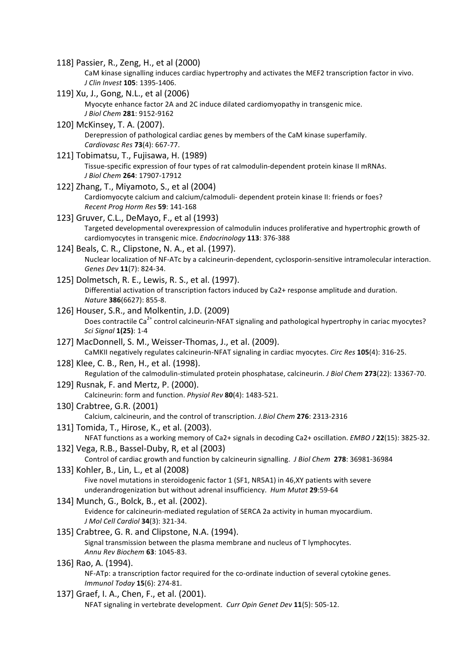- 118]
Passier,
R.,
Zeng,
H.,
et
al
(2000) CaM kinase signalling induces cardiac hypertrophy and activates the MEF2 transcription factor in vivo. *J
Clin
Invest* **105**:
1395‐1406.
- 119]
Xu,
J.,
Gong,
N.L.,
et
al
(2006) Myocyte enhance factor 2A and 2C induce dilated cardiomyopathy in transgenic mice. *J
Biol
Chem* **281**:
9152‐9162
- 120]
McKinsey,
T.
A.
(2007). Derepression of pathological cardiac genes by members of the CaM kinase superfamily. *Cardiovasc
Res* **73**(4):
667‐77.
- 121]
Tobimatsu,
T.,
Fujisawa,
H.
(1989) Tissue-specific expression of four types of rat calmodulin-dependent protein kinase II mRNAs. *J
Biol
Chem* **264**:
17907‐17912
- 122]
Zhang,
T.,
Miyamoto,
S.,
et
al
(2004) Cardiomyocyte calcium and calcium/calmoduli- dependent protein kinase II: friends or foes? *Recent
Prog
Horm
Res* **59**:
141‐168
- 123]
Gruver,
C.L.,
DeMayo,
F.,
et
al
(1993) Targeted developmental overexpression of calmodulin induces proliferative and hypertrophic growth of cardiomyocytes
in
transgenic
mice. *Endocrinology* **113**:
376‐388
- 124] Beals, C. R., Clipstone, N. A., et al. (1997). Nuclear
localization
of
NF‐ATc
by
a
calcineurin‐dependent,
cyclosporin‐sensitive
intramolecular
interaction. *Genes
Dev* **11**(7):
824‐34.
- 125]
Dolmetsch,
R.
E.,
Lewis,
R.
S.,
et
al.
(1997). Differential activation of transcription factors induced by Ca2+ response amplitude and duration. *Nature* **386**(6627):
855‐8.
- 126]
Houser,
S.R.,
and
Molkentin,
J.D.
(2009) Does contractile Ca<sup>2+</sup> control calcineurin-NFAT signaling and pathological hypertrophy in cariac myocytes? *Sci
Signal* **1(25)**:
1‐4
- 127]
MacDonnell,
S.
M.,
Weisser‐Thomas,
J.,
et
al.
(2009). CaMKII negatively regulates calcineurin-NFAT signaling in cardiac myocytes. Circ Res 105(4): 316-25.
- 128]
Klee,
C.
B.,
Ren,
H.,
et
al.
(1998). Regulation of the calmodulin-stimulated protein phosphatase, calcineurin. *J Biol Chem* 273(22): 13367-70.
- 129]
Rusnak,
F.
and
Mertz,
P.
(2000). Calcineurin:
form
and
function. *Physiol
Rev* **80**(4):
1483‐521.
- 130]
Crabtree,
G.R.
(2001)

Calcium,
calcineurin,
and
the
control
of
transcription. *J.Biol
Chem* **276**:
2313‐2316

- 131]
Tomida,
T.,
Hirose,
K.,
et
al.
(2003). NFAT functions as a working memory of Ca2+ signals in decoding Ca2+ oscillation. *EMBO J* 22(15): 3825-32.
- 132]
Vega,
R.B.,
Bassel‐Duby,
R,
et
al
(2003) Control of cardiac growth and function by calcineurin signalling. *J Biol Chem* 278: 36981-36984
- 133]
Kohler,
B.,
Lin,
L.,
et
al
(2008) Five novel mutations in steroidogenic factor 1 (SF1, NR5A1) in 46,XY patients with severe underandrogenization
but
without
adrenal
insufficiency. *Hum
Mutat* **29**:59‐64
- 134]
Munch,
G.,
Bolck,
B.,
et
al.
(2002). Evidence for calcineurin-mediated regulation of SERCA 2a activity in human myocardium. *J
Mol
Cell
Cardiol* **34**(3):
321‐34.
- 135]
Crabtree,
G.
R.
and
Clipstone,
N.A.
(1994). Signal
transmission
between
the
plasma
membrane
and
nucleus
of
T
lymphocytes. *Annu
Rev
Biochem* **63**:
1045‐83.
- 136]
Rao,
A.
(1994). NF-ATp: a transcription factor required for the co-ordinate induction of several cytokine genes. *Immunol
Today* **15**(6):
274‐81.
- 137] Graef, I. A., Chen, F., et al. (2001). NFAT
signaling
in
vertebrate
development. *Curr
Opin
Genet
Dev* **11**(5):
505‐12.